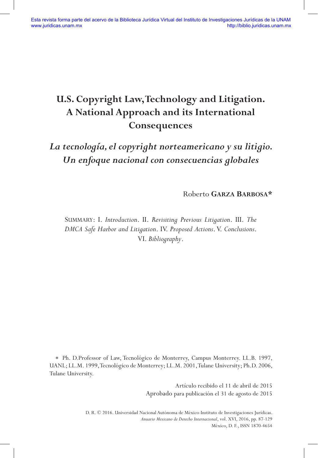# **U.S. Copyright Law, Technology and Litigation. A National Approach and its International Consequences**

# *La tecnología, el copyright norteamericano y su litigio. Un enfoque nacional con consecuencias globales*

Roberto **Garza Barbosa\***

Summary: I. *Introduction*. II. *Revisiting Previous Litigation*. III. *The DMCA Safe Harbor and Litigation*. IV. *Proposed Actions*. V. *Conclusions*. VI. *Bibliography*.

\* Ph. D.Professor of Law, Tecnológico de Monterrey, Campus Monterrey. LL.B. 1997, UANL; LL.M. 1999, Tecnológico de Monterrey; LL.M. 2001, Tulane University; Ph.D. 2006, Tulane University.

> Artículo recibido el 11 de abril de 2015 Aprobado para publicación el 31 de agosto de 2015

D. R. © 2016. Universidad Nacional Autónoma de México-Instituto de Investigaciones Jurídicas. *Anuario Mexicano de Derecho Internacional*, vol. XVI, 2016, pp. 87-129 México, D. F., ISSN 1870-4654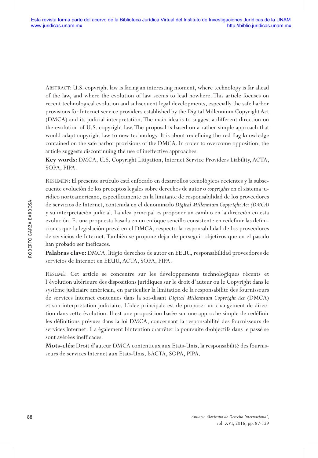Abstract: U.S. copyright law is facing an interesting moment, where technology is far ahead of the law, and where the evolution of law seems to lead nowhere. This article focuses on recent technological evolution and subsequent legal developments, especially the safe harbor provisions for Internet service providers established by the Digital Millennium Copyright Act (DMCA) and its judicial interpretation. The main idea is to suggest a different direction on the evolution of U.S. copyright law. The proposal is based on a rather simple approach that would adapt copyright law to new technology. It is about redefining the red flag knowledge contained on the safe harbor provisions of the DMCA. In order to overcome opposition, the article suggests discontinuing the use of ineffective approaches.

**Key words:** DMCA, U.S. Copyright Litigation, Internet Service Providers Liability, ACTA, SOPA, PIPA.

Resumen: El presente artículo está enfocado en desarrollos tecnológicos recientes y la subsecuente evolución de los preceptos legales sobre derechos de autor o *copyrights* en el sistema jurídico norteamericano, específicamente en la limitante de responsabilidad de los proveedores de servicios de Internet, contenida en el denominado *Digital Millennium Copyright Act (DMCA)* y su interpretación judicial. La idea principal es proponer un cambio en la dirección en esta evolución. Es una propuesta basada en un enfoque sencillo consistente en redefinir las definiciones que la legislación prevé en el DMCA, respecto la responsabilidad de los proveedores de servicios de Internet. También se propone dejar de perseguir objetivos que en el pasado han probado ser ineficaces.

**Palabras clave:** DMCA, litigio derechos de autor en EEUU, responsabilidad proveedores de servicios de Internet en EEUU, ACTA, SOPA, PIPA.

Résumé: Cet article se concentre sur les développements technologiques récents et l'évolution ultérieure des dispositions juridiques sur le droit d'auteur ou le Copyright dans le système judiciaire américain, en particulier la limitation de la responsabilité des fournisseurs de services Internet contenues dans la soi-disant *Digital Millennium Copyright Act* (DMCA) et son interprétation judiciaire. L'idée principale est de proposer un changement de direction dans cette évolution. Il est une proposition basée sur une approche simple de redéfinir les définitions prévues dans la loi DMCA, concernant la responsabilité des fournisseurs de services Internet. Il a également bintention darrêter la poursuite dobjectifs dans le passé se sont avérées inefficaces.

**Mots-clés:** Droit d'auteur DMCA contentieux aux Etats-Unis, la responsabilité des fournisseurs de services Internet aux États-Unis, l›ACTA, SOPA, PIPA.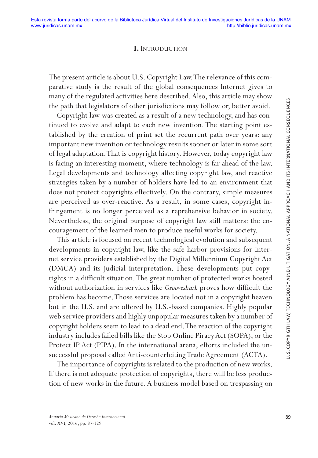#### **I.** Introduction

The present article is about U.S. Copyright Law. The relevance of this comparative study is the result of the global consequences Internet gives to many of the regulated activities here described. Also, this article may show the path that legislators of other jurisdictions may follow or, better avoid.

Copyright law was created as a result of a new technology, and has continued to evolve and adapt to each new invention. The starting point established by the creation of print set the recurrent path over years: any important new invention or technology results sooner or later in some sort of legal adaptation. That is copyright history. However, today copyright law is facing an interesting moment, where technology is far ahead of the law. Legal developments and technology affecting copyright law, and reactive strategies taken by a number of holders have led to an environment that does not protect copyrights effectively. On the contrary, simple measures are perceived as over-reactive. As a result, in some cases, copyright infringement is no longer perceived as a reprehensive behavior in society. Nevertheless, the original purpose of copyright law still matters: the encouragement of the learned men to produce useful works for society.

This article is focused on recent technological evolution and subsequent developments in copyright law, like the safe harbor provisions for Internet service providers established by the Digital Millennium Copyright Act (DMCA) and its judicial interpretation. These developments put copyrights in a difficult situation. The great number of protected works hosted without authorization in services like *Grooveshark* proves how difficult the problem has become. Those services are located not in a copyright heaven but in the U.S. and are offered by U.S.-based companies. Highly popular web service providers and highly unpopular measures taken by a number of copyright holders seem to lead to a dead end. The reaction of the copyright industry includes failed bills like the Stop Online Piracy Act (SOPA), or the Protect IP Act (PIPA). In the international arena, efforts included the unsuccessful proposal called Anti-counterfeiting Trade Agreement (ACTA).

The importance of copyrights is related to the production of new works. If there is not adequate protection of copyrights, there will be less production of new works in the future. A business model based on trespassing on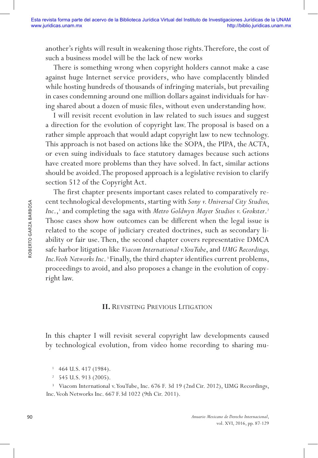another's rights will result in weakening those rights. Therefore, the cost of such a business model will be the lack of new works

There is something wrong when copyright holders cannot make a case against huge Internet service providers, who have complacently blinded while hosting hundreds of thousands of infringing materials, but prevailing in cases condemning around one million dollars against individuals for having shared about a dozen of music files, without even understanding how.

I will revisit recent evolution in law related to such issues and suggest a direction for the evolution of copyright law. The proposal is based on a rather simple approach that would adapt copyright law to new technology. This approach is not based on actions like the SOPA, the PIPA, the ACTA, or even suing individuals to face statutory damages because such actions have created more problems than they have solved. In fact, similar actions should be avoided. The proposed approach is a legislative revision to clarify section 512 of the Copyright Act.

The first chapter presents important cases related to comparatively recent technological developments, starting with *Sony v. Universal City Studios,*  Inc.,<sup>1</sup> and completing the saga with *Metro Goldwyn Mayer Studios v. Grokster*.<sup>2</sup> Those cases show how outcomes can be different when the legal issue is related to the scope of judiciary created doctrines, such as secondary liability or fair use. Then, the second chapter covers representative DMCA safe harbor litigation like *Viacom International v. YouTube*, and *UMG Recordings, Inc. Veoh Networks Inc*. <sup>3</sup> Finally, the third chapter identifies current problems, proceedings to avoid, and also proposes a change in the evolution of copyright law.

#### **II.** Revisiting Previous Litigation

In this chapter I will revisit several copyright law developments caused by technological evolution, from video home recording to sharing mu-

<sup>1</sup> 464 U.S. 417 (1984).

<sup>2</sup> 545 U.S. 913 (2005).

<sup>3</sup> Viacom International v. YouTube, Inc. 676 F. 3d 19 (2nd Cir. 2012), UMG Recordings, Inc. Veoh Networks Inc. 667 F.3d 1022 (9th Cir. 2011).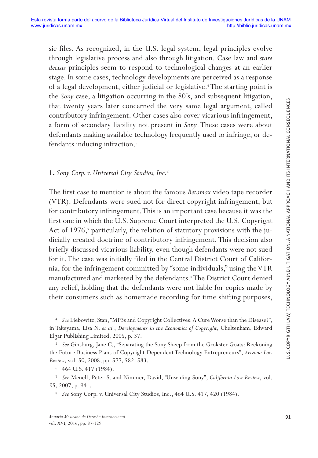sic files. As recognized, in the U.S. legal system, legal principles evolve through legislative process and also through litigation. Case law and *stare decisis* principles seem to respond to technological changes at an earlier stage. In some cases, technology developments are perceived as a response of a legal development, either judicial or legislative.<sup>4</sup> The starting point is the *Sony* case, a litigation occurring in the 80's, and subsequent litigation, that twenty years later concerned the very same legal argument, called contributory infringement. Other cases also cover vicarious infringement, a form of secondary liability not present in *Sony*. These cases were about defendants making available technology frequently used to infringe, or defendants inducing infraction.<sup>5</sup>

# **1.** *Sony Corp. v. Universal City Studios, Inc.*<sup>6</sup>

The first case to mention is about the famous *Betamax* video tape recorder (VTR). Defendants were sued not for direct copyright infringement, but for contributory infringement. This is an important case because it was the first one in which the U.S. Supreme Court interpreted the U.S. Copyright Act of 1976,7 particularly, the relation of statutory provisions with the judicially created doctrine of contributory infringement. This decision also briefly discussed vicarious liability, even though defendants were not sued for it. The case was initially filed in the Central District Court of California, for the infringement committed by "some individuals," using the VTR manufactured and marketed by the defendants.8 The District Court denied any relief, holding that the defendants were not liable for copies made by their consumers such as homemade recording for time shifting purposes,

<sup>4</sup> *See* Liebowitz, Stan, "MP3s and Copyright Collectives: A Cure Worse than the Disease?", in Takeyama, Lisa N. *et al.*, *Developments in the Economics of Copyright*, Cheltenham, Edward Elgar Publishing Limited, 2005, p. 37.

<sup>5</sup> *See* Ginsburg, Jane C., "Separating the Sony Sheep from the Grokster Goats: Reckoning the Future Business Plans of Copyright-Dependent Technology Entrepreneurs", *Arizona Law Review*, vol. 50, 2008, pp. 577, 582, 583.

<sup>6</sup> 464 U.S. 417 (1984).

<sup>7</sup> *See* Menell, Peter S. and Nimmer, David, *"*Unwiding Sony", *California Law Review*, vol. 95, 2007, p. 941.

<sup>8</sup> *See* Sony Corp. v. Universal City Studios, Inc., 464 U.S. 417, 420 (1984).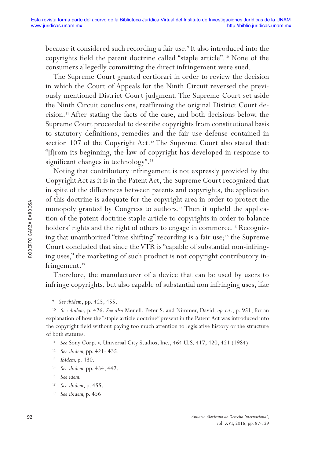because it considered such recording a fair use.<sup>9</sup> It also introduced into the copyrights field the patent doctrine called "staple article".10 None of the consumers allegedly committing the direct infringement were sued.

The Supreme Court granted certiorari in order to review the decision in which the Court of Appeals for the Ninth Circuit reversed the previously mentioned District Court judgment. The Supreme Court set aside the Ninth Circuit conclusions, reaffirming the original District Court decision.11 After stating the facts of the case, and both decisions below, the Supreme Court proceeded to describe copyrights from constitutional basis to statutory definitions, remedies and the fair use defense contained in section 107 of the Copyright Act.<sup>12</sup> The Supreme Court also stated that: "[f]rom its beginning, the law of copyright has developed in response to significant changes in technology".<sup>13</sup>

Noting that contributory infringement is not expressly provided by the Copyright Act as it is in the Patent Act, the Supreme Court recognized that in spite of the differences between patents and copyrights, the application of this doctrine is adequate for the copyright area in order to protect the monopoly granted by Congress to authors.<sup>14</sup> Then it upheld the application of the patent doctrine staple article to copyrights in order to balance holders' rights and the right of others to engage in commerce.<sup>15</sup> Recognizing that unauthorized "time shifting" recording is a fair use;<sup>16</sup> the Supreme Court concluded that since the VTR is "capable of substantial non-infringing uses," the marketing of such product is not copyright contributory infringement.<sup>17</sup>

Therefore, the manufacturer of a device that can be used by users to infringe copyrights, but also capable of substantial non infringing uses, like

<sup>10</sup> *See ibidem,* p. 426. *See also* Menell, Peter S. and Nimmer, David, *op. cit.*, p. 951, for an explanation of how the "staple article doctrine" present in the Patent Act was introduced into the copyright field without paying too much attention to legislative history or the structure of both statutes.

<sup>11</sup> *See* Sony Corp. v. Universal City Studios, Inc., 464 U.S. 417, 420, 421 (1984).

- <sup>12</sup> *See ibidem,* pp. 421- 435.
- <sup>13</sup> *Ibidem,* p. 430.
- <sup>14</sup> *See ibidem,* pp. 434, 442.
- <sup>15</sup> *See idem.*
- <sup>16</sup> *See ibidem*, p. 455.
- <sup>17</sup> *See ibidem,* p. 456.

<sup>9</sup> *See ibidem*, pp. 425, 455.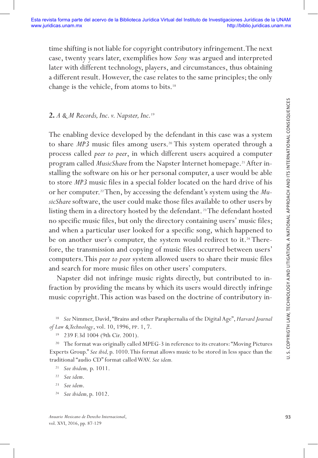time shifting is not liable for copyright contributory infringement. The next case, twenty years later, exemplifies how *Sony* was argued and interpreted later with different technology, players, and circumstances, thus obtaining a different result. However, the case relates to the same principles; the only change is the vehicle, from atoms to bits.18

# **2.** *A & M Records, Inc. v. Napster, Inc.*<sup>19</sup>

The enabling device developed by the defendant in this case was a system to share *MP3* music files among users.<sup>20</sup> This system operated through a process called *peer to peer*, in which different users acquired a computer program called *MusicShare* from the Napster Internet homepage.<sup>21</sup> After installing the software on his or her personal computer, a user would be able to store *MP3* music files in a special folder located on the hard drive of his or her computer.22 Then, by accessing the defendant's system using the *MusicShare* software, the user could make those files available to other users by listing them in a directory hosted by the defendant. 23 The defendant hosted no specific music files, but only the directory containing users' music files; and when a particular user looked for a specific song, which happened to be on another user's computer, the system would redirect to it.<sup>24</sup> Therefore, the transmission and copying of music files occurred between users' computers. This *peer to peer* system allowed users to share their music files and search for more music files on other users' computers.

Napster did not infringe music rights directly, but contributed to infraction by providing the means by which its users would directly infringe music copyright. This action was based on the doctrine of contributory in-

<sup>18</sup> *See* Nimmer, David, "Brains and other Paraphernalia of the Digital Age", *Harvard Journal of Law & Technology*, vol. 10, 1996, pp. 1, 7.

<sup>19</sup> 239 F.3d 1004 (9th Cir. 2001).

<sup>20</sup> The format was originally called MPEG-3 in reference to its creators: "Moving Pictures Experts Group." *See ibid,* p. 1010. This format allows music to be stored in less space than the traditional "audio CD" format called WAV. *See idem.* 

- <sup>23</sup> *See idem*.
- <sup>24</sup> *See ibidem,* p. 1012.

<sup>21</sup> *See ibidem,* p. 1011.

<sup>22</sup> *See idem*.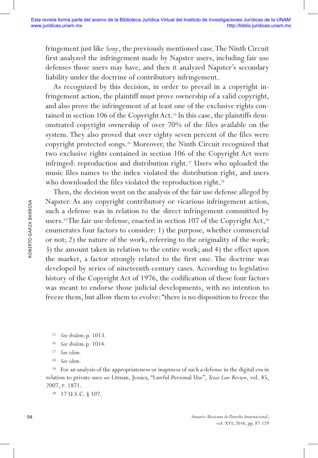fringement just like *Sony*, the previously mentioned case. The Ninth Circuit first analyzed the infringement made by Napster users, including fair use defenses those users may have, and then it analyzed Napster's secondary liability under the doctrine of contributory infringement.

As recognized by this decision, in order to prevail in a copyright infringement action, the plaintiff must prove ownership of a valid copyright, and also prove the infringement of at least one of the exclusive rights contained in section 106 of the Copyright Act.<sup>25</sup> In this case, the plaintiffs demonstrated copyright ownership of over 70% of the files available on the system. They also proved that over eighty seven percent of the files were copyright protected songs.<sup>26</sup> Moreover, the Ninth Circuit recognized that two exclusive rights contained in section 106 of the Copyright Act were infringed: reproduction and distribution right.<sup>27</sup> Users who uploaded the music files names to the index violated the distribution right, and users who downloaded the files violated the reproduction right.<sup>28</sup>

Then, the decision went on the analysis of the fair use defense alleged by Napster. As any copyright contributory or vicarious infringement action, such a defense was in relation to the direct infringement committed by users.<sup>29</sup> The fair use defense, enacted in section 107 of the Copyright Act,<sup>30</sup> enumerates four factors to consider: 1) the purpose, whether commercial or not; 2) the nature of the work, referring to the originality of the work; 3) the amount taken in relation to the entire work; and 4) the effect upon the market, a factor strongly related to the first one. The doctrine was developed by series of nineteenth-century cases. According to legislative history of the Copyright Act of 1976, the codification of these four factors was meant to endorse those judicial developments, with no intention to freeze them, but allow them to evolve: "there is no disposition to freeze the

<sup>26</sup> *See ibidem,* p. 1014.

<sup>28</sup> *See idem.*

<sup>30</sup> 17 U.S.C. § 107.

<sup>25</sup> *See ibidem,* p. 1013.

<sup>27</sup> *See idem.*

<sup>29</sup> For an analysis of the appropriateness or inaptness of such a defense in the digital era in relation to private uses *see* Litman, Jessica, "Lawful Personal Use", *Texas Law Review*, vol. 85, 2007, p. 1871.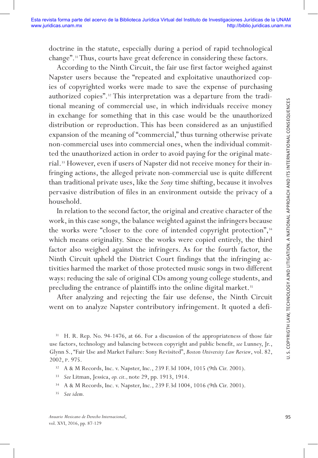doctrine in the statute, especially during a period of rapid technological change".31 Thus, courts have great deference in considering these factors.

According to the Ninth Circuit, the fair use first factor weighed against Napster users because the "repeated and exploitative unauthorized copies of copyrighted works were made to save the expense of purchasing authorized copies".32 This interpretation was a departure from the traditional meaning of commercial use, in which individuals receive money in exchange for something that in this case would be the unauthorized distribution or reproduction. This has been considered as an unjustified expansion of the meaning of "commercial," thus turning otherwise private non-commercial uses into commercial ones, when the individual committed the unauthorized action in order to avoid paying for the original material.33 However, even if users of Napster did not receive money for their infringing actions, the alleged private non-commercial use is quite different than traditional private uses, like the *Sony* time shifting, because it involves pervasive distribution of files in an environment outside the privacy of a household.

In relation to the second factor, the original and creative character of the work, in this case songs, the balance weighted against the infringers because the works were "closer to the core of intended copyright protection",<sup>34</sup> which means originality. Since the works were copied entirely, the third factor also weighed against the infringers. As for the fourth factor, the Ninth Circuit upheld the District Court findings that the infringing activities harmed the market of those protected music songs in two different ways: reducing the sale of original CDs among young college students, and precluding the entrance of plaintiffs into the online digital market.<sup>35</sup>

After analyzing and rejecting the fair use defense, the Ninth Circuit went on to analyze Napster contributory infringement. It quoted a defi-

- <sup>33</sup> *See* Litman, Jessica, *op. cit.,* note 29, pp. 1913, 1914.
- <sup>34</sup> A & M Records, Inc. v. Napster, Inc., 239 F.3d 1004, 1016 (9th Cir. 2001).
- <sup>35</sup> *See idem.*

<sup>31</sup> H. R. Rep. No. 94-1476, at 66. For a discussion of the appropriateness of those fair use factors, technology and balancing between copyright and public benefit, *see* Lunney, Jr., Glynn S., "Fair Use and Market Failure: Sony Revisited", *Boston University Law Review*, vol. 82, 2002, p. 975.

<sup>32</sup> A & M Records, Inc. v. Napster, Inc., 239 F.3d 1004, 1015 (9th Cir. 2001).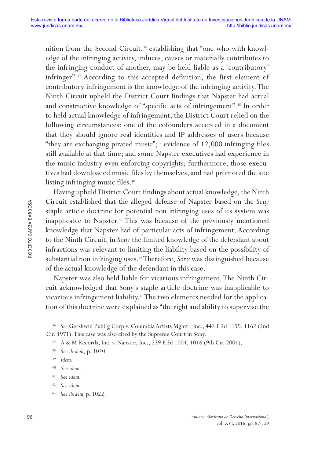nition from the Second Circuit,<sup>36</sup> establishing that "one who with knowledge of the infringing activity, induces, causes or materially contributes to the infringing conduct of another, may be held liable as a 'contributory' infringer".37 According to this accepted definition, the first element of contributory infringement is the knowledge of the infringing activity. The Ninth Circuit upheld the District Court findings that Napster had actual and constructive knowledge of "specific acts of infringement".<sup>38</sup> In order to held actual knowledge of infringement, the District Court relied on the following circumstances: one of the cofounders accepted in a document that they should ignore real identities and IP addresses of users because "they are exchanging pirated music";<sup>39</sup> evidence of 12,000 infringing files still available at that time; and some Napster executives had experience in the music industry even enforcing copyrights; furthermore, those executives had downloaded music files by themselves, and had promoted the site listing infringing music files.<sup>40</sup>

Having upheld District Court findings about actual knowledge, the Ninth Circuit established that the alleged defense of Napster based on the *Sony* staple article doctrine for potential non infringing uses of its system was inapplicable to Napster.<sup>41</sup> This was because of the previously mentioned knowledge that Napster had of particular acts of infringement. According to the Ninth Circuit, in *Sony* the limited knowledge of the defendant about infractions was relevant to limiting the liability based on the possibility of substantial non infringing uses.42 Therefore, *Sony* was distinguished because of the actual knowledge of the defendant in this case.

Napster was also held liable for vicarious infringement. The Ninth Circuit acknowledged that Sony's staple article doctrine was inapplicable to vicarious infringement liability.<sup>43</sup> The two elements needed for the application of this doctrine were explained as "the right and ability to supervise the

<sup>36</sup> *See* Gershwin Publ'g Corp v. Columbia Artists Mgmt., Inc., 443 F.2d 1159, 1162 (2nd Cir. 1971). This case was also cited by the Supreme Court in Sony.

- <sup>37</sup> A & M Records, Inc. v. Napster, Inc., 239 F.3d 1004, 1016 (9th Cir. 2001).
- <sup>38</sup> *See ibidem*, p. 1020.
- <sup>39</sup> *Idem.*
- <sup>40</sup> *See idem.*
- <sup>41</sup> *See idem.*
- <sup>42</sup> *See idem.*
- <sup>43</sup> *See ibidem,* p. 1022.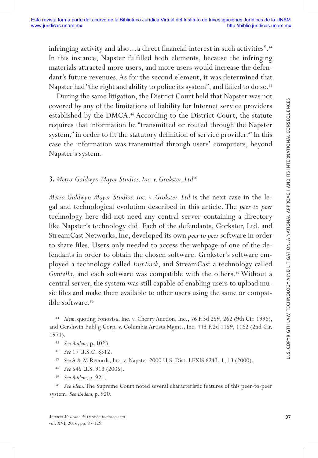infringing activity and also...a direct financial interest in such activities".<sup>44</sup> In this instance, Napster fulfilled both elements, because the infringing materials attracted more users, and more users would increase the defendant's future revenues. As for the second element, it was determined that Napster had "the right and ability to police its system", and failed to do so.<sup>45</sup>

During the same litigation, the District Court held that Napster was not covered by any of the limitations of liability for Internet service providers established by the DMCA.<sup>46</sup> According to the District Court, the statute requires that information be "transmitted or routed through the Napster system," in order to fit the statutory definition of service provider.<sup>47</sup> In this case the information was transmitted through users' computers, beyond Napster's system.

## **3.** *Metro-Goldwyn Mayer Studios. Inc. v. Grokster, Ltd<sup>48</sup>*

*Metro-Goldwyn Mayer Studios. Inc. v. Grokster, Ltd* is the next case in the legal and technological evolution described in this article. The *peer to peer* technology here did not need any central server containing a directory like Napster's technology did. Each of the defendants, Gorkster, Ltd. and StreamCast Networks, Inc, developed its own *peer to peer* software in order to share files. Users only needed to access the webpage of one of the defendants in order to obtain the chosen software. Grokster's software employed a technology called *FastTrack*, and StreamCast a technology called *Guntella*, and each software was compatible with the others.<sup>49</sup> Without a central server, the system was still capable of enabling users to upload music files and make them available to other users using the same or compatible software.50

<sup>44</sup> *Idem.* quoting Fonovisa, Inc. v. Cherry Auction, Inc., 76 F.3d 259, 262 (9th Cir. 1996), and Gershwin Publ'g Corp. v. Columbia Artists Mgmt., Inc. 443 F.2d 1159, 1162 (2nd Cir. 1971).

- <sup>45</sup> *See ibidem,* p. 1023.
- <sup>46</sup> *See* 17 U.S.C. §512.
- <sup>47</sup> *See* A & M Records, Inc. v. Napster 2000 U.S. Dist. LEXIS 6243, 1, 13 (2000).
- <sup>48</sup> *See* 545 U.S. 913 (2005).
- <sup>49</sup> *See ibidem,* p. 921.

<sup>50</sup> *See idem.* The Supreme Court noted several characteristic features of this peer-to-peer system. *See ibidem,* p. 920.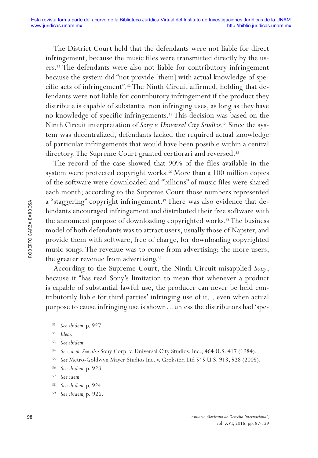The District Court held that the defendants were not liable for direct infringement, because the music files were transmitted directly by the users.<sup>51</sup> The defendants were also not liable for contributory infringement because the system did "not provide [them] with actual knowledge of specific acts of infringement".52 The Ninth Circuit affirmed, holding that defendants were not liable for contributory infringement if the product they distribute is capable of substantial non infringing uses, as long as they have no knowledge of specific infringements.53 This decision was based on the Ninth Circuit interpretation of *Sony v. Universal City Studios*.<sup>54</sup> Since the system was decentralized, defendants lacked the required actual knowledge of particular infringements that would have been possible within a central directory. The Supreme Court granted certiorari and reversed.<sup>55</sup>

The record of the case showed that 90% of the files available in the system were protected copyright works.<sup>56</sup> More than a 100 million copies of the software were downloaded and "billions" of music files were shared each month; according to the Supreme Court those numbers represented a "staggering" copyright infringement.<sup>57</sup> There was also evidence that defendants encouraged infringement and distributed their free software with the announced purpose of downloading copyrighted works.<sup>58</sup> The business model of both defendants was to attract users, usually those of Napster, and provide them with software, free of charge, for downloading copyrighted music songs. The revenue was to come from advertising; the more users, the greater revenue from advertising.<sup>59</sup>

According to the Supreme Court, the Ninth Circuit misapplied *Sony*, because it "has read Sony's limitation to mean that whenever a product is capable of substantial lawful use, the producer can never be held contributorily liable for third parties' infringing use of it... even when actual purpose to cause infringing use is shown…unless the distributors had 'spe-

- <sup>54</sup> *See idem. See also* Sony Corp. v. Universal City Studios, Inc., 464 U.S. 417 (1984).
- <sup>55</sup> *See* Metro-Goldwyn Mayer Studios Inc. v. Grokster, Ltd 545 U.S. 913, 928 (2005).
- <sup>56</sup> *See ibidem,* p. 923.
- <sup>57</sup> *See idem.*
- <sup>58</sup> *See ibidem,* p. 924.
- <sup>59</sup> *See ibidem,* p. 926.

<sup>51</sup> *See ibidem,* p. 927.

<sup>52</sup> *Idem.*

<sup>53</sup> *See ibidem.*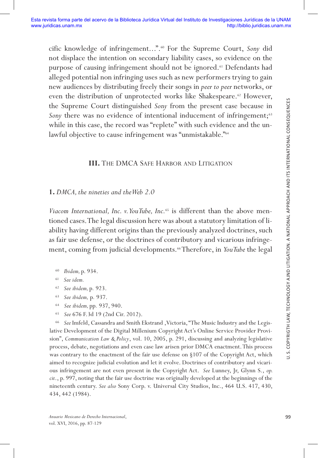cific knowledge of infringement...".60 For the Supreme Court, *Sony* did not displace the intention on secondary liability cases, so evidence on the purpose of causing infringement should not be ignored.61 Defendants had alleged potential non infringing uses such as new performers trying to gain new audiences by distributing freely their songs in *peer to peer* networks, or even the distribution of unprotected works like Shakespeare.<sup>62</sup> However, the Supreme Court distinguished *Sony* from the present case because in *Sony* there was no evidence of intentional inducement of infringement;<sup>63</sup> while in this case, the record was "replete" with such evidence and the unlawful objective to cause infringement was "unmistakable."<sup>64</sup>

# **III. THE DMCA SAFE HARBOR AND LITIGATION**

## **1.** *DMCA, the nineties and the Web 2.0*

*Viacom International, Inc. v. YouTube, Inc.*65 is different than the above mentioned cases. The legal discussion here was about a statutory limitation of liability having different origins than the previously analyzed doctrines, such as fair use defense, or the doctrines of contributory and vicarious infringement, coming from judicial developments.<sup>66</sup> Therefore, in *YouTube* the legal

- <sup>60</sup> *Ibidem,* p. 934.
- <sup>61</sup> *See idem.*
- <sup>62</sup> *See ibidem,* p*.* 923.
- <sup>63</sup> *See ibidem,* p*.* 937.
- <sup>64</sup> *See ibidem,* pp*.* 937, 940.
- <sup>65</sup> *See* 676 F.3d 19 (2nd Cir. 2012).

<sup>66</sup> *See* Imfeld, Cassandra and Smith Ekstrand ,Victoria, "The Music Industry and the Legislative Development of the Digital Millenium Copyright Act's Online Service Provider Provision", *Communication Law & Policy*, vol. 10, 2005, p. 291, discussing and analyzing legislative process, debate, negotiations and even case law arisen prior DMCA enactment. This process was contrary to the enactment of the fair use defense on §107 of the Copyright Act, which aimed to recognize judicial evolution and let it evolve. Doctrines of contributory and vicarious infringement are not even present in the Copyright Act. *See* Lunney, Jr, Glynn S., *op. cit*., p. 997, noting that the fair use doctrine was originally developed at the beginnings of the nineteenth century. *See also* Sony Corp. v. Universal City Studios, Inc., 464 U.S. 417, 430, 434, 442 (1984).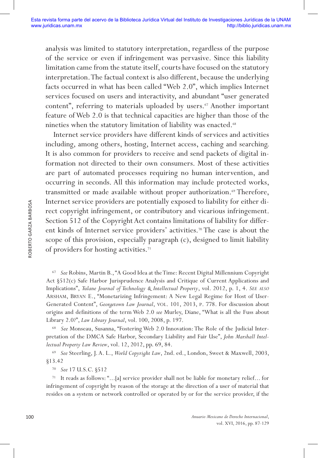analysis was limited to statutory interpretation, regardless of the purpose of the service or even if infringement was pervasive. Since this liability limitation came from the statute itself, courts have focused on the statutory interpretation. The factual context is also different, because the underlying facts occurred in what has been called "Web 2.0", which implies Internet services focused on users and interactivity, and abundant "user generated content", referring to materials uploaded by users.<sup>67</sup> Another important feature of Web 2.0 is that technical capacities are higher than those of the nineties when the statutory limitation of liability was enacted.<sup>68</sup>

Internet service providers have different kinds of services and activities including, among others, hosting, Internet access, caching and searching. It is also common for providers to receive and send packets of digital information not directed to their own consumers. Most of these activities are part of automated processes requiring no human intervention, and occurring in seconds. All this information may include protected works, transmitted or made available without proper authorization.<sup>69</sup> Therefore, Internet service providers are potentially exposed to liability for either direct copyright infringement, or contributory and vicarious infringement. Section 512 of the Copyright Act contains limitations of liability for different kinds of Internet service providers' activities.70 The case is about the scope of this provision, especially paragraph (c), designed to limit liability of providers for hosting activities.71

<sup>67</sup> *See* Robins, Martin B., "A Good Idea at the Time: Recent Digital Millennium Copyright Act §512(c) Safe Harbor Jurisprudence Analysis and Critique of Current Applications and Implications", *Tulane Journal of Technology & Intellectual Property*, vol. 2012, p. 1, 4. *See also* Arsham, Bryan E., "Monetarizing Infringement: A New Legal Regime for Host of User-Generated Content", *Georgetown Law Journal*, vol. 101, 2013, p. 778. For discussion about origins and definitions of the term Web 2.0 *see* Murley, Diane, "What is all the Fuss about Library 2.0?", *Law Library Journal*, vol. 100, 2008, p. 197.

<sup>68</sup> *See* Monseau, Susanna, "Fostering Web 2.0 Innovation: The Role of the Judicial Interpretation of the DMCA Safe Harbor, Secondary Liability and Fair Use", *John Marshall Intellectual Property Law Review*, vol. 12, 2012, pp. 69, 84.

<sup>69</sup> *See* Steerling, J. A. L., *World Copyright Law*, 2nd. ed., London, Sweet & Maxwell, 2003, §13.42

<sup>70</sup> *See* 17 U.S.C. §512

<sup>71</sup> It reads as follows: "...[a] service provider shall not be liable for monetary relief... for infringement of copyright by reason of the storage at the direction of a user of material that resides on a system or network controlled or operated by or for the service provider, if the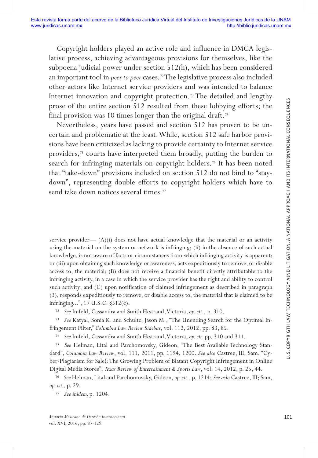Copyright holders played an active role and influence in DMCA legislative process, achieving advantageous provisions for themselves, like the subpoena judicial power under section 512(h), which has been considered an important tool in *peer to peer* cases.<sup>72</sup> The legislative process also included other actors like Internet service providers and was intended to balance Internet innovation and copyright protection.73 The detailed and lengthy prose of the entire section 512 resulted from these lobbying efforts; the final provision was 10 times longer than the original draft.<sup>74</sup>

Nevertheless, years have passed and section 512 has proven to be uncertain and problematic at the least. While, section 512 safe harbor provisions have been criticized as lacking to provide certainty to Internet service providers,75 courts have interpreted them broadly, putting the burden to search for infringing materials on copyright holders.<sup>76</sup> It has been noted that "take-down" provisions included on section 512 do not bind to "staydown", representing double efforts to copyright holders which have to send take down notices several times.<sup>77</sup>

service provider—  $(A)(i)$  does not have actual knowledge that the material or an activity using the material on the system or network is infringing; (ii) in the absence of such actual knowledge, is not aware of facts or circumstances from which infringing activity is apparent; or (iii) upon obtaining such knowledge or awareness, acts expeditiously to remove, or disable access to, the material; (B) does not receive a financial benefit directly attributable to the infringing activity, in a case in which the service provider has the right and ability to control such activity; and (C) upon notification of claimed infringement as described in paragraph (3), responds expeditiously to remove, or disable access to, the material that is claimed to be infringing...", 17 U.S.C. §512(c).

<sup>72</sup> *See* Imfeld, Cassandra and Smith Ekstrand, Victoria, *op. cit.*, p. 310.

See Katyal, Sonia K. and Schultz, Jason M., "The Unending Search for the Optimal Infringement Filter," *Columbia Law Review Sidebar*, vol. 112, 2012, pp. 83, 85.

<sup>74</sup> *See* Imfeld, Cassandra and Smith Ekstrand, Victoria, *op. cit.* pp. 310 and 311.

<sup>75</sup> *See* Helman, Lital and Parchomovsky, Gideon, "The Best Available Technology Standard", *Columbia Law Review*, vol. 111, 2011, pp. 1194, 1200. *See also* Castree, III, Sam, "Cyber-Plagiarism for Sale!: The Growing Problem of Blatant Copyright Infringement in Online Digital Media Stores", *Texas Review of Entertainment & Sports Law*, vol. 14, 2012, p. 25, 44.

<sup>76</sup> *See* Helman, Lital and Parchomovsky, Gideon, *op. cit.*, p. 1214; *See aslo* Castree, III; Sam, *op. cit.,* p. 29.

<sup>77</sup> *See ibidem,* p*.* 1204.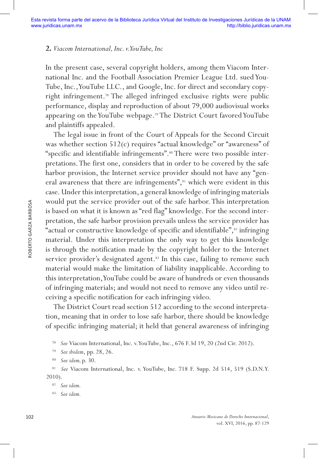Esta revista forma parte del acervo de la Biblioteca Jurídica Virtual del Instituto de Investigaciones Jurídicas de la UNAM www.juridicas.unam.mx http://biblio.juridicas.unam.mx

#### **2.** *Viacom International, Inc. v. YouTube, Inc*

In the present case, several copyright holders, among them Viacom International Inc. and the Football Association Premier League Ltd. sued You-Tube, Inc., YouTube LLC., and Google, Inc. for direct and secondary copyright infringement.78 The alleged infringed exclusive rights were public performance, display and reproduction of about 79,000 audiovisual works appearing on the YouTube webpage.<sup>79</sup> The District Court favored YouTube and plaintiffs appealed.

The legal issue in front of the Court of Appeals for the Second Circuit was whether section 512(c) requires "actual knowledge" or "awareness" of "specific and identifiable infringements".<sup>80</sup> There were two possible interpretations. The first one, considers that in order to be covered by the safe harbor provision, the Internet service provider should not have any "general awareness that there are infringements",<sup>81</sup> which were evident in this case. Under this interpretation, a general knowledge of infringing materials would put the service provider out of the safe harbor. This interpretation is based on what it is known as "red flag" knowledge. For the second interpretation, the safe harbor provision prevails unless the service provider has "actual or constructive knowledge of specific and identifiable",<sup>82</sup> infringing material. Under this interpretation the only way to get this knowledge is through the notification made by the copyright holder to the Internet service provider's designated agent.<sup>83</sup> In this case, failing to remove such material would make the limitation of liability inapplicable. According to this interpretation, YouTube could be aware of hundreds or even thousands of infringing materials; and would not need to remove any video until receiving a specific notification for each infringing video.

The District Court read section 512 according to the second interpretation, meaning that in order to lose safe harbor, there should be knowledge of specific infringing material; it held that general awareness of infringing

- <sup>79</sup> *See ibidem*, pp. 28, 26.
- <sup>80</sup> *See idem,* p. 30.

<sup>83</sup> *See idem.* 

<sup>78</sup> *See* Viacom International, Inc. v. YouTube, Inc., 676 F.3d 19, 20 (2nd Cir. 2012).

<sup>81</sup> *See* Viacom International, Inc. v. YouTube, Inc*.* 718 F. Supp. 2d 514, 519 (S.D.N.Y. 2010).

<sup>82</sup> *See idem.*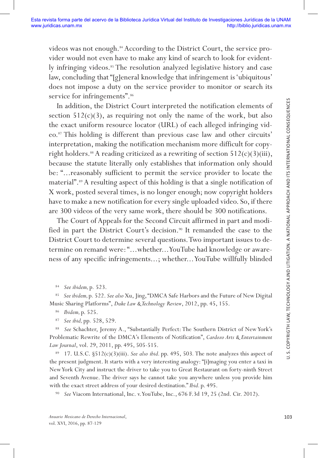videos was not enough.<sup>84</sup> According to the District Court, the service provider would not even have to make any kind of search to look for evidently infringing videos.<sup>85</sup> The resolution analyzed legislative history and case law, concluding that "[g]eneral knowledge that infringement is 'ubiquitous' does not impose a duty on the service provider to monitor or search its service for infringements".<sup>86</sup>

In addition, the District Court interpreted the notification elements of section  $512(c)(3)$ , as requiring not only the name of the work, but also the exact uniform resource locator (URL) of each alleged infringing video.87 This holding is different than previous case law and other circuits' interpretation, making the notification mechanism more difficult for copyright holders.<sup>88</sup> A reading criticized as a rewriting of section  $512(c)(3)(iii)$ , because the statute literally only establishes that information only should be: "...reasonably sufficient to permit the service provider to locate the material".<sup>89</sup> A resulting aspect of this holding is that a single notification of X work, posted several times, is no longer enough; now copyright holders have to make a new notification for every single uploaded video. So, if there are 300 videos of the very same work, there should be 300 notifications.

The Court of Appeals for the Second Circuit affirmed in part and modified in part the District Court's decision.<sup>90</sup> It remanded the case to the District Court to determine several questions. Two important issues to determine on remand were: "...whether... YouTube had knowledge or awareness of any specific infringements...; whether... YouTube willfully blinded

<sup>84</sup> *See ibidem,* p*.* 523.

<sup>85</sup> *See ibidem,* p*.* 522. *See also* Xu, Jing, "DMCA Safe Harbors and the Future of New Digital Music Sharing Platforms", *Duke Law & Technology Review*, 2012, pp. 45, 155.

<sup>86</sup> *Ibidem,* p. 525.

<sup>87</sup> *See ibid,* pp*.* 528, 529.

<sup>88</sup> *See* Schachter, Jeremy A., "Substantially Perfect: The Southern District of New York's Problematic Rewrite of the DMCA's Elements of Notification", *Cardozo Arts & Entertainment Law Journal*, vol. 29, 2011, pp. 495, 505-515.

<sup>89</sup> 17. U.S.C. §512(c)(3)(iii). *See also ibid.* pp. 495, 503*.* The note analyzes this aspect of the present judgment. It starts with a very interesting analogy: "[i]maging you enter a taxi in New York City and instruct the driver to take you to Great Restaurant on forty-ninth Street and Seventh Avenue. The driver says he cannot take you anywhere unless you provide him with the exact street address of your desired destination." *Ibid.* p. 495.

<sup>90</sup> *See* Viacom International, Inc. v. YouTube, Inc., 676 F.3d 19, 25 (2nd. Cir. 2012).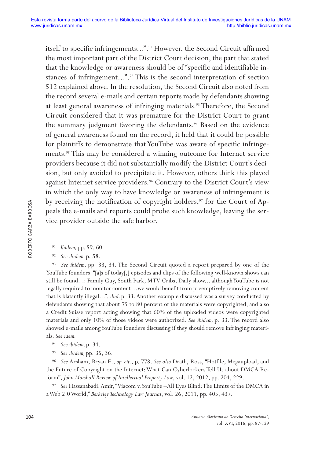itself to specific infringements...".91 However, the Second Circuit affirmed the most important part of the District Court decision, the part that stated that the knowledge or awareness should be of "specific and identifiable instances of infringement...".<sup>92</sup> This is the second interpretation of section 512 explained above. In the resolution, the Second Circuit also noted from the record several e-mails and certain reports made by defendants showing at least general awareness of infringing materials.<sup>93</sup> Therefore, the Second Circuit considered that it was premature for the District Court to grant the summary judgment favoring the defendants.<sup>94</sup> Based on the evidence of general awareness found on the record, it held that it could be possible for plaintiffs to demonstrate that YouTube was aware of specific infringements.<sup>95</sup> This may be considered a winning outcome for Internet service providers because it did not substantially modify the District Court's decision, but only avoided to precipitate it. However, others think this played against Internet service providers.<sup>96</sup> Contrary to the District Court's view in which the only way to have knowledge or awareness of infringement is by receiving the notification of copyright holders,<sup>97</sup> for the Court of Appeals the e-mails and reports could probe such knowledge, leaving the service provider outside the safe harbor.

- <sup>91</sup> *Ibidem,* pp. 59, 60.
- <sup>92</sup> *See ibidem,* p*.* 58.

<sup>93</sup> *See ibidem,* pp*.* 33, 34. The Second Circuit quoted a report prepared by one of the YouTube founders: "[a]s of today[,] episodes and clips of the following well-known shows can still be found...: Family Guy, South Park, MTV Cribs, Daily show... although YouTube is not legally required to monitor content…we would benefit from preemptively removing content that is blatantly illegal...", *ibid.* p. 33. Another example discussed was a survey conducted by defendants showing that about 75 to 80 percent of the materials were copyrighted, and also a Credit Suisse report acting showing that 60% of the uploaded videos were copyrighted materials and only 10% of those videos were authorized. *See ibidem,* p*.* 33. The record also showed e-mails among YouTube founders discussing if they should remove infringing materials. *See idem.*

- <sup>94</sup> *See ibidem,* p*.* 34.
- <sup>95</sup> *See ibidem,* pp*.* 35, 36.

<sup>96</sup> *See* Arsham, Bryan E., *op. cit.*, p. 778. *See also* Drath, Ross, "Hotfile, Megaupload, and the Future of Copyright on the Internet: What Can Cyberlockers Tell Us about DMCA Reform", *John Marshall Review of Intellectual Property Law*, vol. 12, 2012, pp. 204, 229.

<sup>97</sup> *See* Hassanabadi, Amir, "Viacom v. YouTube –All Eyes Blind: The Limits of the DMCA in a Web 2.0 World," *Berkeley Technology Law Journal*, vol. 26, 2011, pp. 405, 437.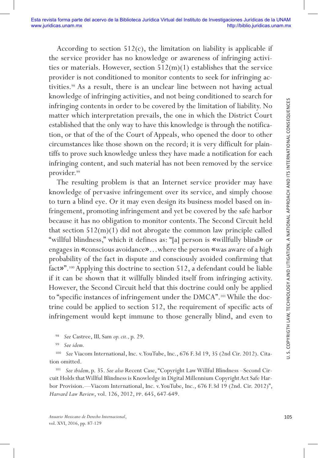According to section  $512(c)$ , the limitation on liability is applicable if the service provider has no knowledge or awareness of infringing activities or materials. However, section 512(m)(1) establishes that the service provider is not conditioned to monitor contents to seek for infringing activities.<sup>98</sup> As a result, there is an unclear line between not having actual knowledge of infringing activities, and not being conditioned to search for infringing contents in order to be covered by the limitation of liability. No matter which interpretation prevails, the one in which the District Court established that the only way to have this knowledge is through the notification, or that of the of the Court of Appeals, who opened the door to other circumstances like those shown on the record; it is very difficult for plaintiffs to prove such knowledge unless they have made a notification for each infringing content, and such material has not been removed by the service provider.99

The resulting problem is that an Internet service provider may have knowledge of pervasive infringement over its service, and simply choose to turn a blind eye. Or it may even design its business model based on infringement, promoting infringement and yet be covered by the safe harbor because it has no obligation to monitor contents. The Second Circuit held that section  $512(m)(1)$  did not abrogate the common law principle called "willful blindness," which it defines as: "[a] person is «willfully blind» or engages in «conscious avoidance»…where the person «was aware of a high probability of the fact in dispute and consciously avoided confirming that fact»".<sup>100</sup> Applying this doctrine to section 512, a defendant could be liable if it can be shown that it willfully blinded itself from infringing activity. However, the Second Circuit held that this doctrine could only be applied to "specific instances of infringement under the DMCA".<sup>101</sup> While the doctrine could be applied to section 512, the requirement of specific acts of infringement would kept immune to those generally blind, and even to

<sup>100</sup> *See* Viacom International, Inc. v. YouTube, Inc., 676 F.3d 19, 35 (2nd Cir. 2012). Citation omitted.

<sup>101</sup> *See ibidem,* p. 35. *See also* Recent Case, "Copyright Law Willful Blindness –Second Circuit Holds that Willful Blindness is Knowledge in Digital Millennium Copyright Act Safe Harbor Provision.—Viacom International, Inc. v. YouTube, Inc., 676 F.3d 19 (2nd. Cir. 2012)", *Harvard Law Review*, vol. 126, 2012, pp. 645, 647-649.

<sup>98</sup> *See* Castree, III*,* Sam *op. cit.,* p. 29.

<sup>99</sup> *See idem.*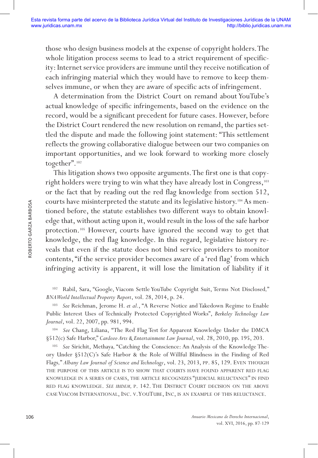those who design business models at the expense of copyright holders. The whole litigation process seems to lead to a strict requirement of specificity: Internet service providers are immune until they receive notification of each infringing material which they would have to remove to keep themselves immune, or when they are aware of specific acts of infringement.

A determination from the District Court on remand about YouTube's actual knowledge of specific infringements, based on the evidence on the record, would be a significant precedent for future cases. However, before the District Court rendered the new resolution on remand, the parties settled the dispute and made the following joint statement: "This settlement reflects the growing collaborative dialogue between our two companies on important opportunities, and we look forward to working more closely together".102

This litigation shows two opposite arguments. The first one is that copyright holders were trying to win what they have already lost in Congress,<sup>103</sup> or the fact that by reading out the red flag knowledge from section 512, courts have misinterpreted the statute and its legislative history.104 As mentioned before, the statute establishes two different ways to obtain knowledge that, without acting upon it, would result in the loss of the safe harbor protection.<sup>105</sup> However, courts have ignored the second way to get that knowledge, the red flag knowledge. In this regard, legislative history reveals that even if the statute does not bind service providers to monitor contents, "if the service provider becomes aware of a 'red flag' from which infringing activity is apparent, it will lose the limitation of liability if it

<sup>104</sup> *See* Chang, Liliana, "The Red Flag Test for Apparent Knowledge Under the DMCA §512(c) Safe Harbor," *Cardozo Arts & Entertainment Law Journal*, vol. 28, 2010, pp. 195, 203.

<sup>105</sup> *See* Sirichit, Methaya*,* "Catching the Conscience: An Analysis of the Knowledge Theory Under §512(C)'s Safe Harbor & the Role of Willful Blindness in the Finding of Red Flags*,*" *Albany Law Journal of Science and Technology*, vol. 23, 2013, pp. 85, 129. Even though the purpose of this article is to show that courts have found apparent red flag knowledge in a series of cases, the article recognizes "judicial reluctance" in find red flag knowledge. *See ibidem,* p. 142. The District Court decision on the above caseViacom International, Inc. v. YouTube, Inc, is an example of this reluctance.

<sup>102</sup> Rabil, Sara, "Google, Viacom Settle YouTube Copyright Suit, Terms Not Disclosed*,*" *BNA World Intellectual Property Report*, vol. 28, 2014, p. 24.

<sup>103</sup> *See* Reichman, Jerome H. *et al.*, "A Reverse Notice and Takedown Regime to Enable Public Interest Uses of Technically Protected Copyrighted Works", *Berkeley Technology Law Journal*, vol. 22, 2007, pp. 981, 994.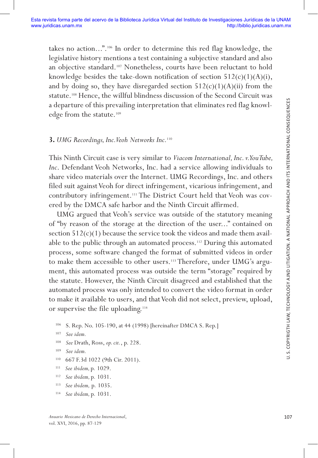takes no action...".106 In order to determine this red flag knowledge, the legislative history mentions a test containing a subjective standard and also an objective standard.<sup>107</sup> Nonetheless, courts have been reluctant to hold knowledge besides the take-down notification of section  $512(c)(1)(A)(i)$ , and by doing so, they have disregarded section  $512(c)(1)(A)(ii)$  from the statute.<sup>108</sup> Hence, the willful blindness discussion of the Second Circuit was a departure of this prevailing interpretation that eliminates red flag knowledge from the statute.<sup>109</sup>

## **3.** *UMG Recordings, Inc. Veoh Networks Inc.*<sup>110</sup>

This Ninth Circuit case is very similar to *Viacom International, Inc. v. YouTube, Inc*. Defendant Veoh Networks, Inc. had a service allowing individuals to share video materials over the Internet. UMG Recordings, Inc. and others filed suit against Veoh for direct infringement, vicarious infringement, and contributory infringement.<sup>111</sup> The District Court held that Veoh was covered by the DMCA safe harbor and the Ninth Circuit affirmed.

UMG argued that Veoh's service was outside of the statutory meaning of "by reason of the storage at the direction of the user..." contained on section  $512(c)(1)$  because the service took the videos and made them available to the public through an automated process.<sup>112</sup> During this automated process, some software changed the format of submitted videos in order to make them accessible to other users.<sup>113</sup> Therefore, under UMG's argument, this automated process was outside the term "storage" required by the statute. However, the Ninth Circuit disagreed and established that the automated process was only intended to convert the video format in order to make it available to users, and that Veoh did not select, preview, upload, or supervise the file uploading.<sup>114</sup>

- <sup>106</sup> S. Rep. No. 105-190, at 44 (1998) [hereinafter DMCA S. Rep.]
- <sup>107</sup> *See idem.*
- <sup>108</sup> *See* Drath, Ross, *op. cit.*, p. 228.
- <sup>109</sup> *See idem.*
- <sup>110</sup> 667 F.3d 1022 (9th Cir. 2011).
- <sup>111</sup> *See ibidem,* p*.* 1029.
- <sup>112</sup> *See ibidem,* p*.* 1031.
- <sup>113</sup> *See ibidem,* p*.* 1035.
- <sup>114</sup> *See ibidem,* p*.* 1031.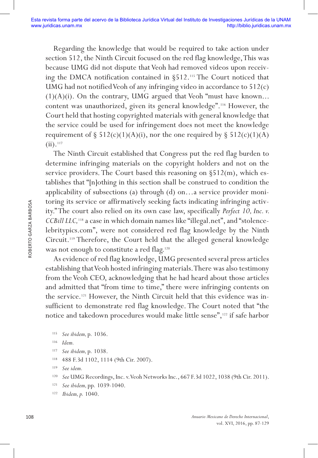Regarding the knowledge that would be required to take action under section 512, the Ninth Circuit focused on the red flag knowledge, This was because UMG did not dispute that Veoh had removed videos upon receiving the DMCA notification contained in §512.115 The Court noticed that UMG had not notified Veoh of any infringing video in accordance to 512(c)  $(1)(A)(i)$ . On the contrary, UMG argued that Veoh "must have known... content was unauthorized, given its general knowledge".116 However, the Court held that hosting copyrighted materials with general knowledge that the service could be used for infringement does not meet the knowledge requirement of §  $512(c)(1)(A)(i)$ , nor the one required by §  $512(c)(1)(A)$  $(ii).<sup>117</sup>$ 

The Ninth Circuit established that Congress put the red flag burden to determine infringing materials on the copyright holders and not on the service providers. The Court based this reasoning on §512(m), which establishes that "[n]othing in this section shall be construed to condition the applicability of subsections (a) through (d) on…a service provider monitoring its service or affirmatively seeking facts indicating infringing activity." The court also relied on its own case law, specifically *Perfect 10, Inc. v. CCBill LLC,*118 a case in which domain names like "illegal.net", and "stolencelebritypics.com", were not considered red flag knowledge by the Ninth Circuit.119 Therefore, the Court held that the alleged general knowledge was not enough to constitute a red flag.<sup>120</sup>

As evidence of red flag knowledge, UMG presented several press articles establishing that Veoh hosted infringing materials. There was also testimony from the Veoh CEO, acknowledging that he had heard about those articles and admitted that "from time to time," there were infringing contents on the service.121 However, the Ninth Circuit held that this evidence was insufficient to demonstrate red flag knowledge. The Court noted that "the notice and takedown procedures would make little sense",<sup>122</sup> if safe harbor

- <sup>118</sup> 488 F.3d 1102, 1114 (9th Cir. 2007).
- <sup>119</sup> *See idem.*
- <sup>120</sup> *See* UMG Recordings, Inc. v. Veoh Networks Inc., 667 F.3d 1022, 1038 (9th Cir. 2011).
- <sup>121</sup> *See ibidem,* pp*.* 1039-1040.
- <sup>122</sup> *Ibidem, p.* 1040.

<sup>115</sup> *See ibidem,* p*.* 1036.

<sup>116</sup> *Idem.*

<sup>117</sup> *See ibidem,* p*.* 1038.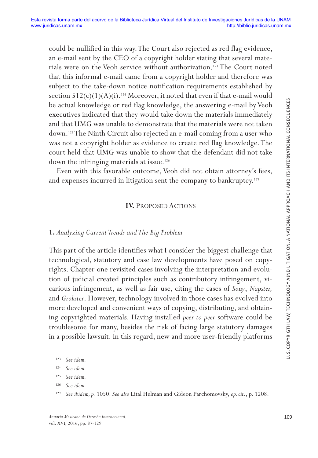could be nullified in this way. The Court also rejected as red flag evidence, an e-mail sent by the CEO of a copyright holder stating that several materials were on the Veoh service without authorization.123 The Court noted that this informal e-mail came from a copyright holder and therefore was subject to the take-down notice notification requirements established by section  $512(c)(1)(A)(i)$ .<sup>124</sup> Moreover, it noted that even if that e-mail would be actual knowledge or red flag knowledge, the answering e-mail by Veoh executives indicated that they would take down the materials immediately and that UMG was unable to demonstrate that the materials were not taken down.125 The Ninth Circuit also rejected an e-mail coming from a user who was not a copyright holder as evidence to create red flag knowledge. The court held that UMG was unable to show that the defendant did not take down the infringing materials at issue.<sup>126</sup>

Even with this favorable outcome, Veoh did not obtain attorney's fees, and expenses incurred in litigation sent the company to bankruptcy.<sup>127</sup>

## **IV.** Proposed Actions

### **1.** *Analyzing Current Trends and The Big Problem*

This part of the article identifies what I consider the biggest challenge that technological, statutory and case law developments have posed on copyrights. Chapter one revisited cases involving the interpretation and evolution of judicial created principles such as contributory infringement, vicarious infringement, as well as fair use, citing the cases of *Sony*, *Napster,* and *Grokster*. However, technology involved in those cases has evolved into more developed and convenient ways of copying, distributing, and obtaining copyrighted materials. Having installed *peer to peer* software could be troublesome for many, besides the risk of facing large statutory damages in a possible lawsuit. In this regard, new and more user-friendly platforms

<sup>125</sup> *See idem.*

<sup>123</sup> *See idem.*

<sup>124</sup> *See idem.* 

<sup>126</sup> *See idem.* 

<sup>127</sup> *See ibidem, p.* 1050. *See also* Lital Helman and Gideon Parchomovsky, *op. cit.*, p. 1208.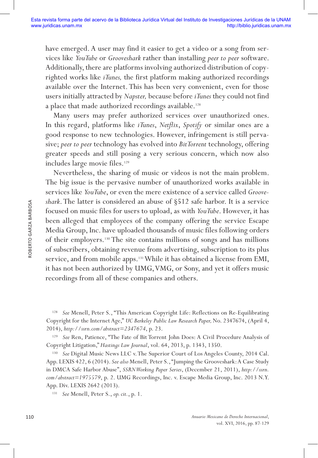have emerged. A user may find it easier to get a video or a song from services like *YouTube* or *Grooveshark* rather than installing *peer to peer* software. Additionally, there are platforms involving authorized distribution of copyrighted works like *iTunes,* the first platform making authorized recordings available over the Internet. This has been very convenient, even for those users initially attracted by *Napster,* because before *iTunes* they could not find a place that made authorized recordings available.<sup>128</sup>

Many users may prefer authorized services over unauthorized ones. In this regard, platforms like *iTunes*, *Netflix*, *Spotify* or similar ones are a good response to new technologies. However, infringement is still pervasive; *peer to peer* technology has evolved into *BitTorrent* technology, offering greater speeds and still posing a very serious concern, which now also includes large movie files.<sup>129</sup>

Nevertheless, the sharing of music or videos is not the main problem. The big issue is the pervasive number of unauthorized works available in services like *YouTube*, or even the mere existence of a service called *Grooveshark*. The latter is considered an abuse of §512 safe harbor. It is a service focused on music files for users to upload, as with *YouTube*. However, it has been alleged that employees of the company offering the service Escape Media Group, Inc. have uploaded thousands of music files following orders of their employers.130 The site contains millions of songs and has millions of subscribers, obtaining revenue from advertising, subscription to its plus service, and from mobile apps.<sup>131</sup> While it has obtained a license from EMI, it has not been authorized by UMG, VMG, or Sony, and yet it offers music recordings from all of these companies and others.

<sup>128</sup> *See* Menell, Peter S., "This American Copyright Life: Reflections on Re-Equilibrating Copyright for the Internet Age," *UC Berkeley Public Law Research Paper,* No. 2347674, (April 4, 2014), *http://ssrn.com/abstract=2347674*, p. 23.

<sup>129</sup> *See* Ren, Patience, "The Fate of Bit Torrent John Does: A Civil Procedure Analysis of Copyright Litigation," *Hastings Law Journal*, vol. 64, 2013, p. 1343, 1350.

<sup>130</sup> *See* Digital Music News LLC v. The Superior Court of Los Angeles County, 2014 Cal. App. LEXIS 422, 6 (2014). *See also* Menell, Peter S., "Jumping the Grooveshark: A Case Study in DMCA Safe Harbor Abuse", *SSRN Working Paper Series*, (December 21, 2011), *http://ssrn. com/abstract=1975579*, p. 2. UMG Recordings, Inc. v. Escape Media Group, Inc. 2013 N.Y. App. Div. LEXIS 2642 (2013).

<sup>131</sup> *See* Menell, Peter S., *op. cit.*, p. 1.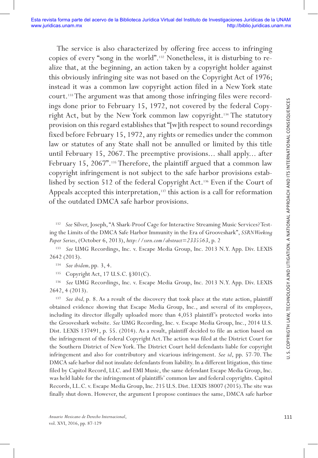The service is also characterized by offering free access to infringing copies of every "song in the world".132 Nonetheless, it is disturbing to realize that, at the beginning, an action taken by a copyright holder against this obviously infringing site was not based on the Copyright Act of 1976; instead it was a common law copyright action filed in a New York state court.133 The argument was that among those infringing files were recordings done prior to February 15, 1972, not covered by the federal Copyright Act, but by the New York common law copyright.134 The statutory provision on this regard establishes that "[w]ith respect to sound recordings fixed before February 15, 1972, any rights or remedies under the common law or statutes of any State shall not be annulled or limited by this title until February 15, 2067. The preemptive provisions... shall apply... after February 15, 2067".<sup>135</sup> Therefore, the plaintiff argued that a common law copyright infringement is not subject to the safe harbor provisions established by section 512 of the federal Copyright Act.136 Even if the Court of Appeals accepted this interpretation,<sup>137</sup> this action is a call for reformation of the outdated DMCA safe harbor provisions.

<sup>132</sup> *See* Silver, Joseph, "A Shark-Proof Cage for Interactive Streaming Music Services? Testing the Limits of the DMCA Safe Harbor Immunity in the Era of Grooveshark", *SSRN Working Paper Series*, (October 6, 2013), *http://ssrn.com/abstract=2335563*, p. 2

<sup>133</sup> *See* UMG Recordings, Inc. v. Escape Media Group, Inc. 2013 N.Y. App. Div. LEXIS 2642 (2013).

<sup>134</sup> *See ibidem,* pp*.* 3, 4.

<sup>135</sup> Copyright Act, 17 U.S.C. §301(C).

<sup>136</sup> *See* UMG Recordings, Inc. v. Escape Media Group, Inc. 2013 N.Y. App. Div. LEXIS 2642, 4 (2013).

<sup>137</sup> *See ibid,* p*.* 8. As a result of the discovery that took place at the state action, plaintiff obtained evidence showing that Escape Media Group, Inc., and several of its employees, including its director illegally uploaded more than 4,053 plaintiff's protected works into the Grooveshark website. *See* UMG Recording, Inc. v. Escape Media Group, Inc., 2014 U.S. Dist. LEXIS 137491, p. 55. (2014). As a result, plaintiff decided to file an action based on the infringement of the federal Copyright Act. The action was filed at the District Court for the Southern District of New York. The District Court held defendants liable for copyright infringement and also for contributory and vicarious infringement. *See id*, pp. 57-70. The DMCA safe harbor did not insulate defendants from liability. In a different litigation, this time filed by Capitol Record, LLC. and EMI Music, the same defendant Escape Media Group, Inc. was held liable for the infringement of plaintiffs' common law and federal copyrights. Capitol Records, LL.C. v. Escape Media Group, Inc. 215 U.S. Dist. LEXIS 38007 (2015). The site was finally shut down. However, the argument I propose continues the same, DMCA safe harbor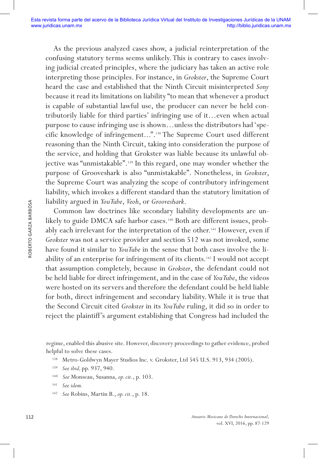As the previous analyzed cases show, a judicial reinterpretation of the confusing statutory terms seems unlikely. This is contrary to cases involving judicial created principles, where the judiciary has taken an active role interpreting those principles. For instance, in *Grokster*, the Supreme Court heard the case and established that the Ninth Circuit misinterpreted *Sony* because it read its limitations on liability "to mean that whenever a product is capable of substantial lawful use, the producer can never be held contributorily liable for third parties' infringing use of it…even when actual purpose to cause infringing use is shown…unless the distributors had 'specific knowledge of infringement...".138 The Supreme Court used different reasoning than the Ninth Circuit, taking into consideration the purpose of the service, and holding that Grokster was liable because its unlawful objective was "unmistakable".139 In this regard, one may wonder whether the purpose of Grooveshark is also "unmistakable". Nonetheless, in *Grokster*, the Supreme Court was analyzing the scope of contributory infringement liability, which invokes a different standard than the statutory limitation of liability argued in *YouTube*, *Veoh*, or *Grooveshark*.

Common law doctrines like secondary liability developments are unlikely to guide DMCA safe harbor cases.<sup>140</sup> Both are different issues, probably each irrelevant for the interpretation of the other.<sup>141</sup> However, even if *Grokster* was not a service provider and section 512 was not invoked, some have found it similar to *YouTube* in the sense that both cases involve the liability of an enterprise for infringement of its clients.142 I would not accept that assumption completely, because in *Grokster*, the defendant could not be held liable for direct infringement, and in the case of *YouTube*, the videos were hosted on its servers and therefore the defendant could be held liable for both, direct infringement and secondary liability. While it is true that the Second Circuit cited *Grokster* in its *YouTube* ruling, it did so in order to reject the plaintiff's argument establishing that Congress had included the

- <sup>138</sup> Metro-Goldwyn Mayer Studios Inc. v. Grokster, Ltd 545 U.S. 913, 934 (2005).
- <sup>139</sup> *See ibid,* pp. 937, 940.
- <sup>140</sup> *See* Monseau, Susanna, *op. cit.*, p. 103.
- <sup>141</sup> *See idem.*
- <sup>142</sup> *See* Robins, Martin B., *op. cit.*, p. 18.

ROBERTO GARZA BARBOSA

**ROBERTO GARZA BARBOSA** 

regime, enabled this abusive site. However, discovery proceedings to gather evidence, probed helpful to solve these cases.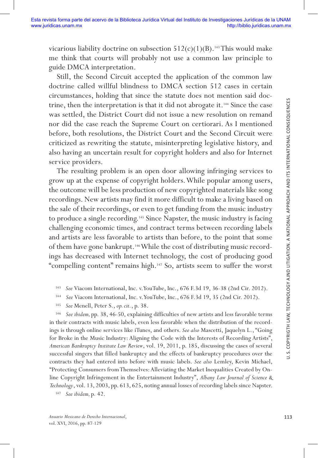vicarious liability doctrine on subsection  $512(c)(1)(B)$ .<sup>143</sup> This would make me think that courts will probably not use a common law principle to guide DMCA interpretation.

Still, the Second Circuit accepted the application of the common law doctrine called willful blindness to DMCA section 512 cases in certain circumstances, holding that since the statute does not mention said doctrine, then the interpretation is that it did not abrogate it.<sup>144</sup> Since the case was settled, the District Court did not issue a new resolution on remand nor did the case reach the Supreme Court on certiorari. As I mentioned before, both resolutions, the District Court and the Second Circuit were criticized as rewriting the statute, misinterpreting legislative history, and also having an uncertain result for copyright holders and also for Internet service providers.

The resulting problem is an open door allowing infringing services to grow up at the expense of copyright holders. While popular among users, the outcome will be less production of new copyrighted materials like song recordings. New artists may find it more difficult to make a living based on the sale of their recordings, or even to get funding from the music industry to produce a single recording.<sup>145</sup> Since Napster, the music industry is facing challenging economic times, and contract terms between recording labels and artists are less favorable to artists than before, to the point that some of them have gone bankrupt.146 While the cost of distributing music recordings has decreased with Internet technology, the cost of producing good "compelling content" remains high.147 So, artists seem to suffer the worst

<sup>143</sup> *See* Viacom International, Inc. v. YouTube, Inc., 676 F.3d 19, 36-38 (2nd Cir. 2012).

<sup>144</sup> *See* Viacom International, Inc. v. YouTube, Inc., 676 F.3d 19, 35 (2nd Cir. 2012).

<sup>145</sup> *See* Menell, Peter S., *op. cit.*, p. 38.

<sup>146</sup> *See ibidem,* pp. 38, 46-50, explaining difficulties of new artists and less favorable terms in their contracts with music labels, even less favorable when the distribution of the recordings is through online services like iTunes, and others. *See also* Mascetti, Jaquelyn L., "Going for Broke in the Music Industry: Aligning the Code with the Interests of Recording Artists", *American Bankruptcy Institute Law Review*, vol. 19, 2011, p. 185, discussing the cases of several successful singers that filled bankruptcy and the effects of bankruptcy procedures over the contracts they had entered into before with music labels. *See also* Lemley, Kevin Michael, "Protecting Consumers from Themselves: Alleviating the Market Inequalities Created by Online Copyright Infringement in the Entertainment Industry", *Albany Law Journal of Science & Technology*, vol. 13, 2003, pp. 613, 625, noting annual losses of recording labels since Napster.

<sup>147</sup> *See ibidem,* p*.* 42.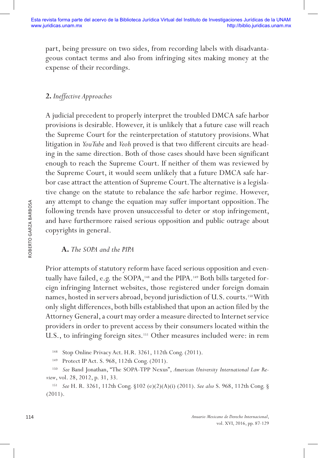part, being pressure on two sides, from recording labels with disadvantageous contact terms and also from infringing sites making money at the expense of their recordings.

# **2.** *Ineffective Approaches*

A judicial precedent to properly interpret the troubled DMCA safe harbor provisions is desirable. However, it is unlikely that a future case will reach the Supreme Court for the reinterpretation of statutory provisions. What litigation in *YouTube* and *Veoh* proved is that two different circuits are heading in the same direction. Both of those cases should have been significant enough to reach the Supreme Court. If neither of them was reviewed by the Supreme Court, it would seem unlikely that a future DMCA safe harbor case attract the attention of Supreme Court. The alternative is a legislative change on the statute to rebalance the safe harbor regime. However, any attempt to change the equation may suffer important opposition. The following trends have proven unsuccessful to deter or stop infringement, and have furthermore raised serious opposition and public outrage about copyrights in general.

#### **A.** *The SOPA and the PIPA*

Prior attempts of statutory reform have faced serious opposition and eventually have failed, e.g. the SOPA,<sup>148</sup> and the PIPA.<sup>149</sup> Both bills targeted foreign infringing Internet websites, those registered under foreign domain names, hosted in servers abroad, beyond jurisdiction of U.S. courts.<sup>150</sup> With only slight differences, both bills established that upon an action filed by the Attorney General, a court may order a measure directed to Internet service providers in order to prevent access by their consumers located within the U.S., to infringing foreign sites.151 Other measures included were: in rem

<sup>148</sup> Stop Online Privacy Act. H.R. 3261, 112th Cong. (2011).

<sup>149</sup> Protect IP Act. S. 968, 112th Cong. (2011).

<sup>151</sup> *See* H. R. 3261, 112th Cong. §102 (e)(2)(A)(i) (2011). *See also* S. 968, 112th Cong. § (2011).

<sup>150</sup> *See* Band Jonathan, "The SOPA-TPP Nexus", *American University International Law Review*, vol. 28, 2012, p. 31, 33.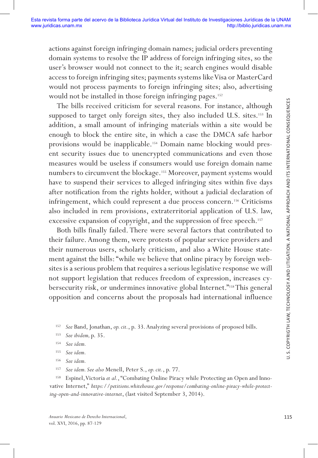actions against foreign infringing domain names; judicial orders preventing domain systems to resolve the IP address of foreign infringing sites, so the user's browser would not connect to the it; search engines would disable access to foreign infringing sites; payments systems like Visa or MasterCard would not process payments to foreign infringing sites; also, advertising would not be installed in those foreign infringing pages.<sup>152</sup>

The bills received criticism for several reasons. For instance, although supposed to target only foreign sites, they also included U.S. sites.<sup>153</sup> In addition, a small amount of infringing materials within a site would be enough to block the entire site, in which a case the DMCA safe harbor provisions would be inapplicable.154 Domain name blocking would present security issues due to unencrypted communications and even those measures would be useless if consumers would use foreign domain name numbers to circumvent the blockage.<sup>155</sup> Moreover, payment systems would have to suspend their services to alleged infringing sites within five days after notification from the rights holder, without a judicial declaration of infringement, which could represent a due process concern.<sup>156</sup> Criticisms also included in rem provisions, extraterritorial application of U.S. law, excessive expansion of copyright, and the suppression of free speech.<sup>157</sup>

Both bills finally failed. There were several factors that contributed to their failure. Among them, were protests of popular service providers and their numerous users, scholarly criticism, and also a White House statement against the bills: "while we believe that online piracy by foreign websites is a serious problem that requires a serious legislative response we will not support legislation that reduces freedom of expression, increases cybersecurity risk, or undermines innovative global Internet."158 This general opposition and concerns about the proposals had international influence

<sup>152</sup> *See* Band, Jonathan, *op. cit.*, p. 33. Analyzing several provisions of proposed bills.

<sup>155</sup> *See idem.* 

<sup>156</sup> *See idem.*

<sup>157</sup> *See idem. See also* Menell, Peter S., *op. cit.*, p. 77.

<sup>158</sup> Espinel, Victoria et al., "Combating Online Piracy while Protecting an Open and Innovative Internet," *https://petitions.whitehouse.gov/response/combating-online-piracy-while-protecting-open-and-innovative-internet*, (last visited September 3, 2014).

<sup>153</sup> *See ibidem,* p. 35.

<sup>154</sup> *See idem.*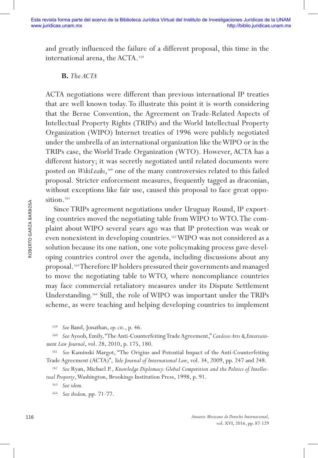and greatly influenced the failure of a different proposal, this time in the international arena, the ACTA.159

#### **B.** *The ACTA*

ACTA negotiations were different than previous international IP treaties that are well known today. To illustrate this point it is worth considering that the Berne Convention, the Agreement on Trade-Related Aspects of Intellectual Property Rights (TRIPs) and the World Intellectual Property Organization (WIPO) Internet treaties of 1996 were publicly negotiated under the umbrella of an international organization like the WIPO or in the TRIPs case, the World Trade Organization (WTO). However, ACTA has a different history; it was secretly negotiated until related documents were posted on *WikiLeaks*,<sup>160</sup> one of the many controversies related to this failed proposal. Stricter enforcement measures, frequently tagged as draconian, without exceptions like fair use, caused this proposal to face great opposition.<sup>161</sup>

Since TRIPs agreement negotiations under Uruguay Round, IP exporting countries moved the negotiating table from WIPO to WTO. The complaint about WIPO several years ago was that IP protection was weak or even nonexistent in developing countries.<sup>162</sup> WIPO was not considered as a solution because its one nation, one vote policymaking process gave developing countries control over the agenda, including discussions about any proposal.<sup>163</sup> Therefore IP holders pressured their governments and managed to move the negotiating table to WTO, where noncompliance countries may face commercial retaliatory measures under its Dispute Settlement Understanding.164 Still, the role of WIPO was important under the TRIPs scheme, as were teaching and helping developing countries to implement

<sup>160</sup> *See* Ayoob, Emily, "The Anti-Counterfeiting Trade Agreement," *Cardozo Arts & Entertainment Law Journal*, vol. 28, 2010, p. 175, 180.

<sup>161</sup> *See* Kaminski Margot, "The Origins and Potential Impact of the Anti-Counterfeiting Trade Agreement (ACTA)", *Yale Journal of International Law*, vol. 34, 2009, pp. 247 and 248.

<sup>162</sup> *See* Ryan, Michael P., *Knowledge Diplomacy. Global Competition and the Politics of Intellectual Property*, Washington, Brookings Institution Press, 1998, p. 91.

<sup>159</sup> *See* Band, Jonathan, *op. cit.*, p. 46.

<sup>163</sup> *See idem.* 

<sup>164</sup> *See ibidem,* pp*.* 71-77.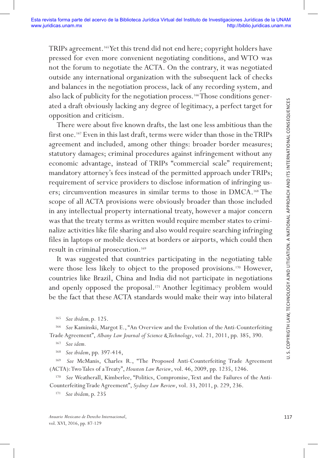TRIPs agreement.165 Yet this trend did not end here; copyright holders have pressed for even more convenient negotiating conditions, and WTO was not the forum to negotiate the ACTA. On the contrary, it was negotiated outside any international organization with the subsequent lack of checks and balances in the negotiation process, lack of any recording system, and also lack of publicity for the negotiation process.<sup>166</sup> Those conditions generated a draft obviously lacking any degree of legitimacy, a perfect target for opposition and criticism.

There were about five known drafts, the last one less ambitious than the first one.<sup>167</sup> Even in this last draft, terms were wider than those in the TRIPs agreement and included, among other things: broader border measures; statutory damages; criminal procedures against infringement without any economic advantage, instead of TRIPs "commercial scale" requirement; mandatory attorney's fees instead of the permitted approach under TRIPs; requirement of service providers to disclose information of infringing users; circumvention measures in similar terms to those in DMCA.168 The scope of all ACTA provisions were obviously broader than those included in any intellectual property international treaty, however a major concern was that the treaty terms as written would require member states to criminalize activities like file sharing and also would require searching infringing files in laptops or mobile devices at borders or airports, which could then result in criminal prosecution.<sup>169</sup>

It was suggested that countries participating in the negotiating table were those less likely to object to the proposed provisions.<sup>170</sup> However, countries like Brazil, China and India did not participate in negotiations and openly opposed the proposal.<sup>171</sup> Another legitimacy problem would be the fact that these ACTA standards would make their way into bilateral

<sup>168</sup> *See ibidem*, pp. 397-414,

<sup>169</sup> *See* McManis, Charles R., "The Proposed Anti-Counterfeiting Trade Agreement (ACTA): Two Tales of a Treaty", *Houston Law Review*, vol. 46, 2009, pp. 1235, 1246.

See Weatherall, Kimberlee, "Politics, Compromise, Text and the Failures of the Anti-Counterfeiting Trade Agreement", *Sydney Law Review*, vol. 33, 2011, p. 229, 236.

<sup>171</sup> *See ibidem,* p. 235

<sup>165</sup> *See ibidem,* p*.* 125.

<sup>166</sup> *See* Kaminski, Margot E., "An Overview and the Evolution of the Anti-Counterfeiting Trade Agreement", *Albany Law Journal of Science & Technology*, vol. 21, 2011, pp. 385, 390.

<sup>167</sup> *See idem.*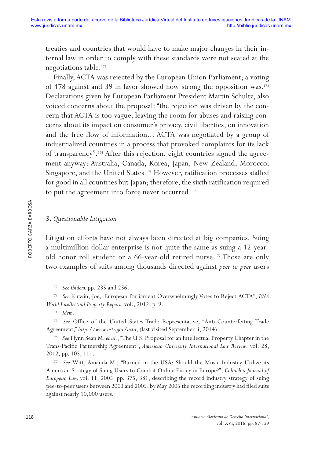treaties and countries that would have to make major changes in their internal law in order to comply with these standards were not seated at the negotiations table.172

Finally, ACTA was rejected by the European Union Parliament; a voting of 478 against and 39 in favor showed how strong the opposition was.173 Declarations given by European Parliament President Martin Schultz, also voiced concerns about the proposal: "the rejection was driven by the concern that ACTA is too vague, leaving the room for abuses and raising concerns about its impact on consumer's privacy, civil liberties, on innovation and the free flow of information... ACTA was negotiated by a group of industrialized countries in a process that provoked complaints for its lack of transparency".174 After this rejection, eight countries signed the agreement anyway: Australia, Canada, Korea, Japan, New Zealand, Morocco, Singapore, and the United States.<sup>175</sup> However, ratification processes stalled for good in all countries but Japan; therefore, the sixth ratification required to put the agreement into force never occurred.<sup>176</sup>

#### **3.** *Questionable Litigation*

Litigation efforts have not always been directed at big companies. Suing a multimillion dollar enterprise is not quite the same as suing a 12-yearold honor roll student or a 66-year-old retired nurse.<sup>177</sup> Those are only two examples of suits among thousands directed against *peer to peer* users

<sup>172</sup> *See ibidem,* pp*.* 235 and 236.

<sup>173</sup> *See* Kirwin, Joe, *"*European Parliament Overwhelmingly Votes to Reject ACTA", *BNA World Intellectual Property Report*, vol., 2012, p. 9.

<sup>174</sup> *Idem.* 

<sup>175</sup> *See* Office of the United States Trade Representative, "Anti-Counterfeiting Trade Agreement," *http://www.ustr.gov/acta*, (last visited September 3, 2014).

<sup>176</sup> *See* Flynn Sean M. *et al.*, "The U.S. Proposal for an Intellectual Property Chapter in the Trans-Pacific Partnership Agreement", *American University International Law Review*, vol. 28, 2012, pp. 105, 111.

<sup>177</sup> *See* Witt, Amanda M., "Burned in the USA: Should the Music Industry Utilize its American Strategy of Suing Users to Combat Online Piracy in Europe?", *Columbia Journal of European Law,* vol. 11, 2005, pp. 375, 381, describing the record industry strategy of suing pee-to-peer users between 2003 and 2005; by May 2005 the recording industry had filed suits against nearly 10,000 users.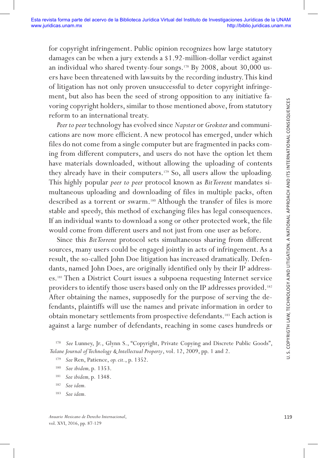for copyright infringement. Public opinion recognizes how large statutory damages can be when a jury extends a \$1.92-million-dollar verdict against an individual who shared twenty-four songs.178 By 2008, about 30,000 users have been threatened with lawsuits by the recording industry. This kind of litigation has not only proven unsuccessful to deter copyright infringement, but also has been the seed of strong opposition to any initiative favoring copyright holders, similar to those mentioned above, from statutory reform to an international treaty.

*Peer to peer* technology has evolved since *Napster* or *Grokster* and communications are now more efficient. A new protocol has emerged, under which files do not come from a single computer but are fragmented in packs coming from different computers, and users do not have the option let them have materials downloaded, without allowing the uploading of contents they already have in their computers.<sup>179</sup> So, all users allow the uploading. This highly popular *peer to peer* protocol known as *BitTorrent* mandates simultaneous uploading and downloading of files in multiple packs, often described as a torrent or swarm.<sup>180</sup> Although the transfer of files is more stable and speedy, this method of exchanging files has legal consequences. If an individual wants to download a song or other protected work, the file would come from different users and not just from one user as before.

Since this *BitTorrent* protocol sets simultaneous sharing from different sources, many users could be engaged jointly in acts of infringement. As a result, the so-called John Doe litigation has increased dramatically. Defendants, named John Does, are originally identified only by their IP addresses.181 Then a District Court issues a subpoena requesting Internet service providers to identify those users based only on the IP addresses provided.<sup>182</sup> After obtaining the names, supposedly for the purpose of serving the defendants, plaintiffs will use the names and private information in order to obtain monetary settlements from prospective defendants.183 Each action is against a large number of defendants, reaching in some cases hundreds or

See Lunney, Jr., Glynn S., "Copyright, Private Copying and Discrete Public Goods", *Tulane Journal of Technology & Intellectual Property*, vol. 12, 2009, pp. 1 and 2.

<sup>179</sup> *See* Ren, Patience, *op. cit.*, p. 1352.

<sup>180</sup> *See ibidem,* p*.* 1353.

<sup>181</sup> *See ibidem,* p*.* 1348.

<sup>182</sup> *See idem.* 

<sup>183</sup> *See idem.*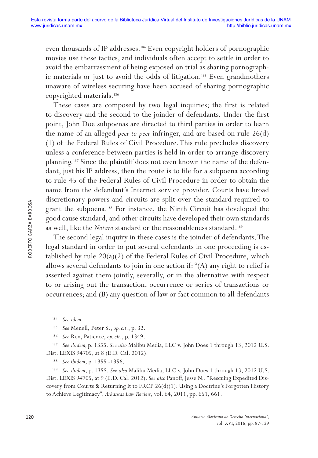even thousands of IP addresses.184 Even copyright holders of pornographic movies use these tactics, and individuals often accept to settle in order to avoid the embarrassment of being exposed on trial as sharing pornographic materials or just to avoid the odds of litigation.<sup>185</sup> Even grandmothers unaware of wireless securing have been accused of sharing pornographic copyrighted materials.186

These cases are composed by two legal inquiries; the first is related to discovery and the second to the joinder of defendants. Under the first point, John Doe subpoenas are directed to third parties in order to learn the name of an alleged *peer to peer* infringer, and are based on rule 26(d) (1) of the Federal Rules of Civil Procedure. This rule precludes discovery unless a conference between parties is held in order to arrange discovery planning.187 Since the plaintiff does not even known the name of the defendant, just his IP address, then the route is to file for a subpoena according to rule 45 of the Federal Rules of Civil Procedure in order to obtain the name from the defendant's Internet service provider. Courts have broad discretionary powers and circuits are split over the standard required to grant the subpoena.<sup>188</sup> For instance, the Ninth Circuit has developed the good cause standard, and other circuits have developed their own standards as well, like the *Notaro* standard or the reasonableness standard.<sup>189</sup>

The second legal inquiry in these cases is the joinder of defendants. The legal standard in order to put several defendants in one proceeding is established by rule 20(a)(2) of the Federal Rules of Civil Procedure, which allows several defendants to join in one action if: "(A) any right to relief is asserted against them jointly, severally, or in the alternative with respect to or arising out the transaction, occurrence or series of transactions or occurrences; and (B) any question of law or fact common to all defendants

<sup>184</sup> *See idem.* 

<sup>185</sup> *See* Menell, Peter S., *op. cit.*, p. 32.

<sup>187</sup> *See ibidem,* p. 1355. *See also* Malibu Media, LLC v. John Does 1 through 13, 2012 U.S. Dist. LEXIS 94705, at 8 (E.D. Cal. 2012).

<sup>189</sup> *See ibidem*, p. 1355. *See also* Malibu Media, LLC v. John Does 1 through 13, 2012 U.S. Dist. LEXIS 94705, at 9 (E.D. Cal. 2012). *See also* Panoff*,* Jesse N., "Rescuing Expedited Discovery from Courts & Returning It to FRCP 26(d)(1): Using a Doctrine's Forgotten History to Achieve Legitimacy", *Arkansas Law Review*, vol. 64, 2011, pp. 651, 661.

<sup>186</sup> *See* Ren, Patience, *op. cit.*, p. 1349.

<sup>188</sup> *See ibidem*, p. 1355 -1356.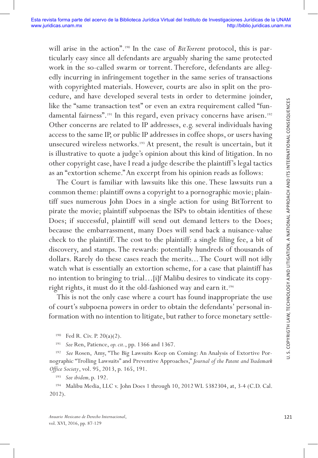will arise in the action".190 In the case of *BitTorrent* protocol, this is particularly easy since all defendants are arguably sharing the same protected work in the so-called swarm or torrent. Therefore, defendants are allegedly incurring in infringement together in the same series of transactions with copyrighted materials. However, courts are also in split on the procedure, and have developed several tests in order to determine joinder, like the "same transaction test" or even an extra requirement called "fundamental fairness".<sup>191</sup> In this regard, even privacy concerns have arisen.<sup>192</sup> Other concerns are related to IP addresses, e.g. several individuals having access to the same IP, or public IP addresses in coffee shops, or users having unsecured wireless networks.<sup>193</sup> At present, the result is uncertain, but it is illustrative to quote a judge's opinion about this kind of litigation. In no other copyright case, have I read a judge describe the plaintiff's legal tactics as an "extortion scheme." An excerpt from his opinion reads as follows:

The Court is familiar with lawsuits like this one. These lawsuits run a common theme: plaintiff owns a copyright to a pornographic movie; plaintiff sues numerous John Does in a single action for using BitTorrent to pirate the movie; plaintiff subpoenas the ISPs to obtain identities of these Does; if successful, plaintiff will send out demand letters to the Does; because the embarrassment, many Does will send back a nuisance-value check to the plaintiff. The cost to the plaintiff: a single filing fee, a bit of discovery, and stamps. The rewards: potentially hundreds of thousands of dollars. Rarely do these cases reach the merits... The Court will not idly watch what is essentially an extortion scheme, for a case that plaintiff has no intention to bringing to trial…[i]f Malibu desires to vindicate its copyright rights, it must do it the old-fashioned way and earn it.<sup>194</sup>

This is not the only case where a court has found inappropriate the use of court's subpoena powers in order to obtain the defendants' personal information with no intention to litigate, but rather to force monetary settle-

<sup>190</sup> Fed R. Civ. P. 20(a)(2).

<sup>191</sup> *See* Ren, Patience, *op. cit.*, pp. 1366 and 1367.

See Rosen, Amy, "The Big Lawsuits Keep on Coming: An Analysis of Extortive Pornographic "Trolling Lawsuits" and Preventive Approaches," *Journal of the Patent and Trademark Office Society*, vol. 95, 2013, p. 165, 191.

<sup>193</sup> *See ibidem,* p. 192.

<sup>194</sup> Malibu Media, LLC v. John Does 1 through 10, 2012 WL 5382304, at, 3-4 (C.D. Cal. 2012).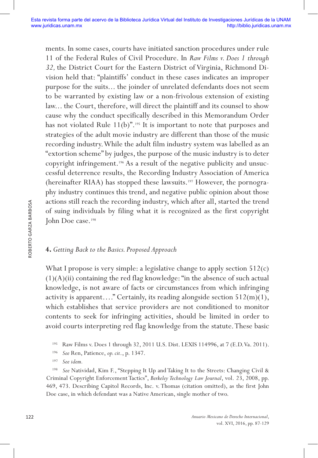ments. In some cases, courts have initiated sanction procedures under rule 11 of the Federal Rules of Civil Procedure. In *Raw Films v. Does 1 through 32,* the District Court for the Eastern District of Virginia, Richmond Division held that: "plaintiffs' conduct in these cases indicates an improper purpose for the suits... the joinder of unrelated defendants does not seem to be warranted by existing law or a non-frivolous extension of existing law... the Court, therefore, will direct the plaintiff and its counsel to show cause why the conduct specifically described in this Memorandum Order has not violated Rule  $11(b)$ ".<sup>195</sup> It is important to note that purposes and strategies of the adult movie industry are different than those of the music recording industry. While the adult film industry system was labelled as an "extortion scheme" by judges, the purpose of the music industry is to deter copyright infringement.<sup>196</sup> As a result of the negative publicity and unsuccessful deterrence results, the Recording Industry Association of America (hereinafter RIAA) has stopped these lawsuits.<sup>197</sup> However, the pornography industry continues this trend, and negative public opinion about those actions still reach the recording industry, which after all, started the trend of suing individuals by filing what it is recognized as the first copyright John Doe case.<sup>198</sup>

## **4.** *Getting Back to the Basics. Proposed Approach*

What I propose is very simple: a legislative change to apply section  $512(c)$  $(1)(A)(ii)$  containing the red flag knowledge: "in the absence of such actual knowledge, is not aware of facts or circumstances from which infringing activity is apparent…." Certainly, its reading alongside section 512(m)(1), which establishes that service providers are not conditioned to monitor contents to seek for infringing activities, should be limited in order to avoid courts interpreting red flag knowledge from the statute. These basic

<sup>195</sup> Raw Films v. Does 1 through 32, 2011 U.S. Dist. LEXIS 114996, at 7 (E.D. Va. 2011).

<sup>196</sup> *See* Ren, Patience, *op. cit*., p. 1347.

<sup>197</sup> *See idem.* 

<sup>198</sup> *See* Natividad, Kim F., "Stepping It Up and Taking It to the Streets: Changing Civil & Criminal Copyright Enforcement Tactics", *Berkeley Technology Law Journal*, vol. 23, 2008, pp. 469, 473. Describing Capitol Records, Inc. v. Thomas (citation omitted), as the first John Doe case, in which defendant was a Native American, single mother of two.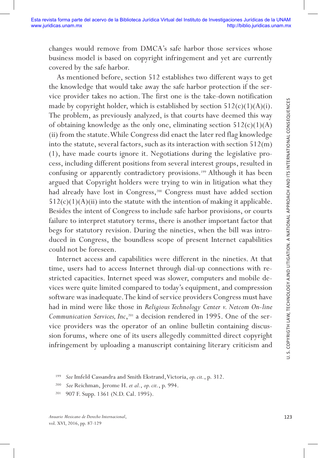changes would remove from DMCA's safe harbor those services whose business model is based on copyright infringement and yet are currently covered by the safe harbor.

As mentioned before, section 512 establishes two different ways to get the knowledge that would take away the safe harbor protection if the service provider takes no action. The first one is the take-down notification made by copyright holder, which is established by section  $512(c)(1)(A)(i)$ . The problem, as previously analyzed, is that courts have deemed this way of obtaining knowledge as the only one, eliminating section  $512(c)(1)(A)$ (ii) from the statute. While Congress did enact the later red flag knowledge into the statute, several factors, such as its interaction with section 512(m) (1), have made courts ignore it. Negotiations during the legislative process, including different positions from several interest groups, resulted in confusing or apparently contradictory provisions.<sup>199</sup> Although it has been argued that Copyright holders were trying to win in litigation what they had already have lost in Congress,<sup>200</sup> Congress must have added section  $512(c)(1)(A)(ii)$  into the statute with the intention of making it applicable. Besides the intent of Congress to include safe harbor provisions, or courts failure to interpret statutory terms, there is another important factor that begs for statutory revision. During the nineties, when the bill was introduced in Congress, the boundless scope of present Internet capabilities could not be foreseen.

Internet access and capabilities were different in the nineties. At that time, users had to access Internet through dial-up connections with restricted capacities. Internet speed was slower, computers and mobile devices were quite limited compared to today's equipment, and compression software was inadequate. The kind of service providers Congress must have had in mind were like those in *Religious Technology Center v. Netcom On-line Communication Services, Inc*,<sup>201</sup> a decision rendered in 1995. One of the service providers was the operator of an online bulletin containing discussion forums, where one of its users allegedly committed direct copyright infringement by uploading a manuscript containing literary criticism and

<sup>199</sup> *See* Imfeld Cassandra and Smith Ekstrand, Victoria, *op. cit.*, p. 312.

<sup>200</sup> *See* Reichman, Jerome H. *et al.*, *op. cit.*, p. 994.

<sup>201</sup> 907 F. Supp. 1361 (N.D. Cal. 1995).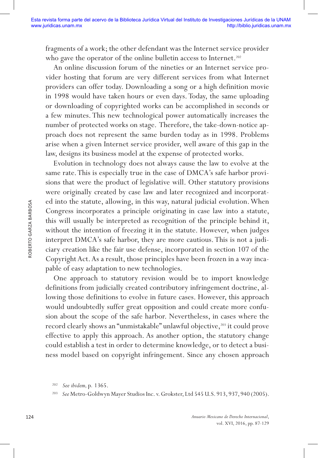fragments of a work; the other defendant was the Internet service provider who gave the operator of the online bulletin access to Internet.<sup>202</sup>

An online discussion forum of the nineties or an Internet service provider hosting that forum are very different services from what Internet providers can offer today. Downloading a song or a high definition movie in 1998 would have taken hours or even days. Today, the same uploading or downloading of copyrighted works can be accomplished in seconds or a few minutes. This new technological power automatically increases the number of protected works on stage. Therefore, the take-down-notice approach does not represent the same burden today as in 1998. Problems arise when a given Internet service provider, well aware of this gap in the law, designs its business model at the expense of protected works.

Evolution in technology does not always cause the law to evolve at the same rate. This is especially true in the case of DMCA's safe harbor provisions that were the product of legislative will. Other statutory provisions were originally created by case law and later recognized and incorporated into the statute, allowing, in this way, natural judicial evolution. When Congress incorporates a principle originating in case law into a statute, this will usually be interpreted as recognition of the principle behind it, without the intention of freezing it in the statute. However, when judges interpret DMCA's safe harbor, they are more cautious. This is not a judiciary creation like the fair use defense, incorporated in section 107 of the Copyright Act. As a result, those principles have been frozen in a way incapable of easy adaptation to new technologies.

One approach to statutory revision would be to import knowledge definitions from judicially created contributory infringement doctrine, allowing those definitions to evolve in future cases. However, this approach would undoubtedly suffer great opposition and could create more confusion about the scope of the safe harbor. Nevertheless, in cases where the record clearly shows an "unmistakable" unlawful objective,<sup>203</sup> it could prove effective to apply this approach. As another option, the statutory change could establish a test in order to determine knowledge, or to detect a business model based on copyright infringement. Since any chosen approach

<sup>202</sup> *See ibidem,* p*.* 1365.

<sup>203</sup> *See* Metro-Goldwyn Mayer Studios Inc. v. Grokster, Ltd 545 U.S. 913, 937, 940 (2005).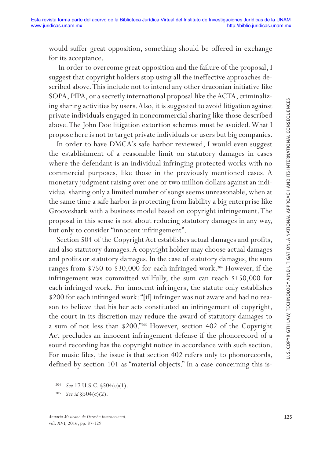would suffer great opposition, something should be offered in exchange for its acceptance.

 In order to overcome great opposition and the failure of the proposal, I suggest that copyright holders stop using all the ineffective approaches described above. This include not to intend any other draconian initiative like SOPA, PIPA, or a secretly international proposal like the ACTA, criminalizing sharing activities by users. Also, it is suggested to avoid litigation against private individuals engaged in noncommercial sharing like those described above. The John Doe litigation extortion schemes must be avoided. What I propose here is not to target private individuals or users but big companies.

In order to have DMCA's safe harbor reviewed, I would even suggest the establishment of a reasonable limit on statutory damages in cases where the defendant is an individual infringing protected works with no commercial purposes, like those in the previously mentioned cases. A monetary judgment raising over one or two million dollars against an individual sharing only a limited number of songs seems unreasonable, when at the same time a safe harbor is protecting from liability a big enterprise like Grooveshark with a business model based on copyright infringement. The proposal in this sense is not about reducing statutory damages in any way, but only to consider "innocent infringement".

Section 504 of the Copyright Act establishes actual damages and profits, and also statutory damages. A copyright holder may choose actual damages and profits or statutory damages. In the case of statutory damages, the sum ranges from \$750 to \$30,000 for each infringed work.<sup>204</sup> However, if the infringement was committed willfully, the sum can reach \$150,000 for each infringed work. For innocent infringers, the statute only establishes \$200 for each infringed work: "[if] infringer was not aware and had no reason to believe that his her acts constituted an infringement of copyright, the court in its discretion may reduce the award of statutory damages to a sum of not less than \$200."205 However, section 402 of the Copyright Act precludes an innocent infringement defense if the phonorecord of a sound recording has the copyright notice in accordance with such section. For music files, the issue is that section 402 refers only to phonorecords, defined by section 101 as "material objects." In a case concerning this is-

<sup>204</sup> *See* 17 U.S.C. §504(c)(1). <sup>205</sup> *See id* §504(c)(2).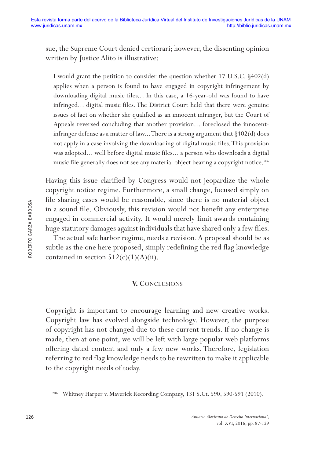sue, the Supreme Court denied certiorari; however, the dissenting opinion written by Justice Alito is illustrative:

I would grant the petition to consider the question whether 17 U.S.C. §402(d) applies when a person is found to have engaged in copyright infringement by downloading digital music files... In this case, a 16-year-old was found to have infringed... digital music files. The District Court held that there were genuine issues of fact on whether she qualified as an innocent infringer, but the Court of Appeals reversed concluding that another provision... foreclosed the innocentinfringer defense as a matter of law... There is a strong argument that §402(d) does not apply in a case involving the downloading of digital music files. This provision was adopted... well before digital music files... a person who downloads a digital music file generally does not see any material object bearing a copyright notice.<sup>206</sup>

Having this issue clarified by Congress would not jeopardize the whole copyright notice regime. Furthermore, a small change, focused simply on file sharing cases would be reasonable, since there is no material object in a sound file. Obviously, this revision would not benefit any enterprise engaged in commercial activity. It would merely limit awards containing huge statutory damages against individuals that have shared only a few files.

The actual safe harbor regime, needs a revision. A proposal should be as subtle as the one here proposed, simply redefining the red flag knowledge contained in section  $512(c)(1)(A)(ii)$ .

#### **V.** Conclusions

Copyright is important to encourage learning and new creative works. Copyright law has evolved alongside technology. However, the purpose of copyright has not changed due to these current trends. If no change is made, then at one point, we will be left with large popular web platforms offering dated content and only a few new works. Therefore, legislation referring to red flag knowledge needs to be rewritten to make it applicable to the copyright needs of today.

<sup>206</sup> Whitney Harper v. Maverick Recording Company, 131 S.Ct. 590, 590-591 (2010).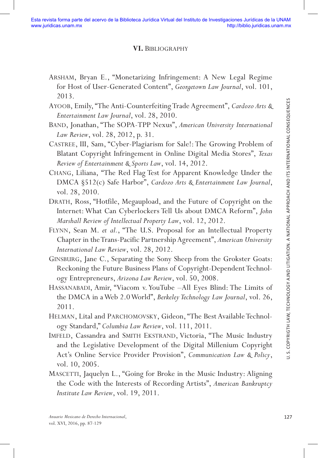## **VI.** Bibliography

- Arsham, Bryan E., "Monetarizing Infringement: A New Legal Regime for Host of User-Generated Content", *Georgetown Law Journal*, vol. 101, 2013.
- Ayoob, Emily, "The Anti-Counterfeiting Trade Agreement", *Cardozo Arts & Entertainment Law Journal*, vol. 28, 2010.
- BAND, Jonathan, "The SOPA-TPP Nexus", *American University International Law Review*, vol. 28, 2012, p. 31.
- Castree, III, Sam, "Cyber-Plagiarism for Sale!: The Growing Problem of Blatant Copyright Infringement in Online Digital Media Stores", *Texas Review of Entertainment & Sports Law*, vol. 14, 2012.
- Chang, Liliana, "The Red Flag Test for Apparent Knowledge Under the DMCA §512(c) Safe Harbor", *Cardozo Arts & Entertainment Law Journal*, vol. 28, 2010.
- DRATH, Ross, "Hotfile, Megaupload, and the Future of Copyright on the Internet: What Can Cyberlockers Tell Us about DMCA Reform", *John Marshall Review of Intellectual Property Law*, vol. 12, 2012.
- Flynn, Sean M. *et al.*, "The U.S. Proposal for an Intellectual Property Chapter in the Trans-Pacific Partnership Agreement", *American University International Law Review*, vol. 28, 2012.
- Ginsburg, Jane C., Separating the Sony Sheep from the Grokster Goats: Reckoning the Future Business Plans of Copyright-Dependent Technology Entrepreneurs, *Arizona Law Review*, vol. 50, 2008.
- Hassanabadi, Amir, "Viacom v. YouTube –All Eyes Blind: The Limits of the DMCA in a Web 2.0 World", *Berkeley Technology Law Journal*, vol. 26, 2011.
- HELMAN, Lital and PARCHOMOVSKY, Gideon, "The Best Available Technology Standard," *Columbia Law Review*, vol. 111, 2011.
- IMFELD, Cassandra and SMITH EKSTRAND, Victoria, "The Music Industry and the Legislative Development of the Digital Millenium Copyright Act's Online Service Provider Provision", *Communication Law & Policy*, vol. 10, 2005.
- MASCETTI, Jaquelyn L., "Going for Broke in the Music Industry: Aligning the Code with the Interests of Recording Artists", *American Bankruptcy Institute Law Review*, vol. 19, 2011.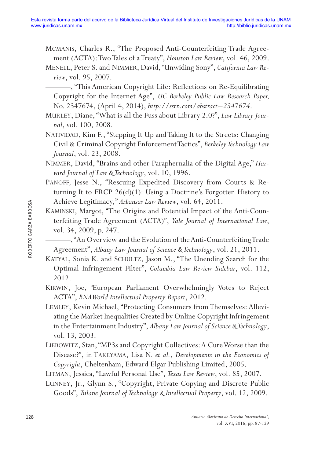- Mcmanis, Charles R., "The Proposed Anti-Counterfeiting Trade Agreement (ACTA): Two Tales of a Treaty", *Houston Law Review*, vol. 46, 2009.
- Menell, Peter S. and Nimmer, David, *"*Unwiding Sony", *California Law Review*, vol. 95, 2007.

———, "This American Copyright Life: Reflections on Re-Equilibrating Copyright for the Internet Age", *UC Berkeley Public Law Research Paper,*  No. 2347674, (April 4, 2014), *http://ssrn.com/abstract=2347674*.

- Murley, Diane, "What is all the Fuss about Library 2.0?", *Law Library Journal*, vol. 100, 2008.
- Natividad, Kim F., "Stepping It Up and Taking It to the Streets: Changing Civil & Criminal Copyright Enforcement Tactics", *Berkeley Technology Law Journal*, vol. 23, 2008.
- Nimmer, David, "Brains and other Paraphernalia of the Digital Age," *Harvard Journal of Law & Technology*, vol. 10, 1996.
- PANOFF, Jesse N., "Rescuing Expedited Discovery from Courts & Returning It to FRCP 26(d)(1): Using a Doctrine's Forgotten History to Achieve Legitimacy*,*" *Arkansas Law Review*, vol. 64, 2011.
- Kaminski, Margot, "The Origins and Potential Impact of the Anti-Counterfeiting Trade Agreement (ACTA)", *Yale Journal of International Law*, vol. 34, 2009, p. 247.
	- ———, "An Overview and the Evolution of the Anti-Counterfeiting Trade Agreement", *Albany Law Journal of Science & Technology*, vol. 21, 2011.
- KATYAL, Sonia K. and SCHULTZ, Jason M., "The Unending Search for the Optimal Infringement Filter", *Columbia Law Review Sidebar*, vol. 112, 2012.
- Kirwin, Joe, *"*European Parliament Overwhelmingly Votes to Reject ACTA", *BNA World Intellectual Property Report*, 2012.
- Lemley, Kevin Michael, "Protecting Consumers from Themselves: Alleviating the Market Inequalities Created by Online Copyright Infringement in the Entertainment Industry", *Albany Law Journal of Science & Technology*, vol. 13, 2003.
- Liebowitz, Stan, "MP3s and Copyright Collectives: A Cure Worse than the Disease?", in Takeyama, Lisa N. *et al.*, *Developments in the Economics of Copyright*, Cheltenham, Edward Elgar Publishing Limited, 2005.
- Litman, Jessica, "Lawful Personal Use", *Texas Law Review*, vol. 85, 2007.
- Lunney, Jr., Glynn S., "Copyright, Private Copying and Discrete Public Goods", *Tulane Journal of Technology & Intellectual Property*, vol. 12, 2009.